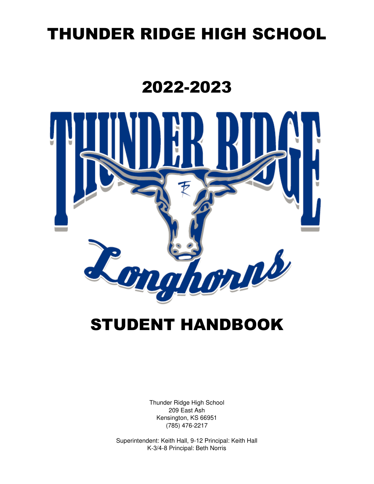# THUNDER RIDGE HIGH SCHOOL

# 2022-2023



# STUDENT HANDBOOK

Thunder Ridge High School 209 East Ash Kensington, KS 66951 (785) 476-2217

Superintendent: Keith Hall, 9-12 Principal: Keith Hall K-3/4-8 Principal: Beth Norris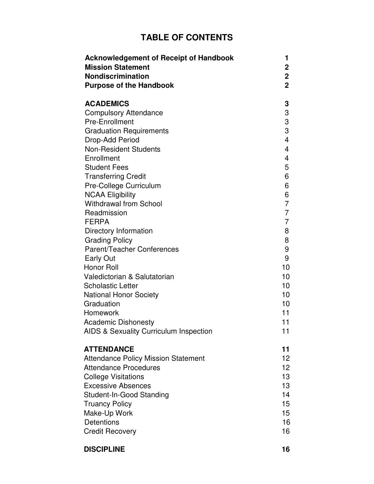# **TABLE OF CONTENTS**

| <b>Acknowledgement of Receipt of Handbook</b> | 1               |
|-----------------------------------------------|-----------------|
| <b>Mission Statement</b>                      | $\mathbf 2$     |
| <b>Nondiscrimination</b>                      | $\mathbf 2$     |
| <b>Purpose of the Handbook</b>                | $\overline{2}$  |
| <b>ACADEMICS</b>                              | 3               |
| <b>Compulsory Attendance</b>                  | 3               |
| <b>Pre-Enrollment</b>                         | 3               |
| <b>Graduation Requirements</b>                | 3               |
| Drop-Add Period                               | 4               |
| <b>Non-Resident Students</b>                  | 4               |
| Enrollment                                    | 4               |
| <b>Student Fees</b>                           | 5               |
| <b>Transferring Credit</b>                    | 6               |
| Pre-College Curriculum                        | 6               |
| <b>NCAA Eligibility</b>                       | 6               |
| <b>Withdrawal from School</b>                 | 7               |
| Readmission                                   | 7               |
| <b>FERPA</b>                                  | 7               |
| Directory Information                         | 8               |
| <b>Grading Policy</b>                         | 8               |
| Parent/Teacher Conferences                    | 9               |
| <b>Early Out</b>                              | 9               |
| <b>Honor Roll</b>                             | 10              |
| Valedictorian & Salutatorian                  | 10              |
| <b>Scholastic Letter</b>                      | 10              |
| <b>National Honor Society</b>                 | 10              |
| Graduation                                    | 10              |
| <b>Homework</b>                               | 11              |
| <b>Academic Dishonesty</b>                    | 11              |
| AIDS & Sexuality Curriculum Inspection        | 11              |
| <b>ATTENDANCE</b>                             | 11              |
| <b>Attendance Policy Mission Statement</b>    | 12 <sup>2</sup> |
| <b>Attendance Procedures</b>                  | 12 <sub>2</sub> |
| <b>College Visitations</b>                    | 13              |
| <b>Excessive Absences</b>                     | 13              |
| Student-In-Good Standing                      | 14              |
| <b>Truancy Policy</b>                         | 15              |
| Make-Up Work                                  | 15              |
| <b>Detentions</b>                             | 16              |
| <b>Credit Recovery</b>                        | 16              |

**DISCIPLINE** 16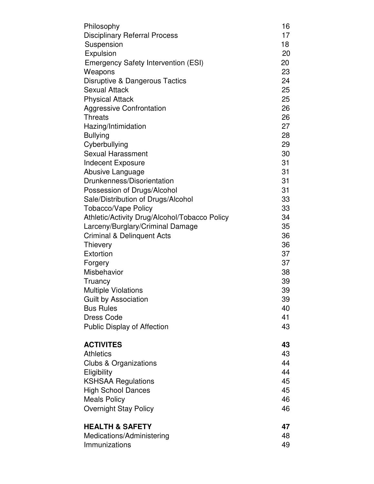| Philosophy                                    | 16 |
|-----------------------------------------------|----|
| <b>Disciplinary Referral Process</b>          | 17 |
| Suspension                                    | 18 |
| Expulsion                                     | 20 |
| <b>Emergency Safety Intervention (ESI)</b>    | 20 |
| Weapons                                       | 23 |
| Disruptive & Dangerous Tactics                | 24 |
| <b>Sexual Attack</b>                          | 25 |
| <b>Physical Attack</b>                        | 25 |
| <b>Aggressive Confrontation</b>               | 26 |
| <b>Threats</b>                                | 26 |
| Hazing/Intimidation                           | 27 |
| <b>Bullying</b>                               | 28 |
| Cyberbullying                                 | 29 |
| <b>Sexual Harassment</b>                      | 30 |
| <b>Indecent Exposure</b>                      | 31 |
| Abusive Language                              | 31 |
| Drunkenness/Disorientation                    | 31 |
| Possession of Drugs/Alcohol                   | 31 |
| Sale/Distribution of Drugs/Alcohol            | 33 |
| <b>Tobacco/Vape Policy</b>                    | 33 |
| Athletic/Activity Drug/Alcohol/Tobacco Policy | 34 |
| Larceny/Burglary/Criminal Damage              | 35 |
| Criminal & Delinquent Acts                    | 36 |
| Thievery                                      | 36 |
| Extortion                                     | 37 |
| Forgery                                       | 37 |
| Misbehavior                                   | 38 |
| Truancy                                       | 39 |
| <b>Multiple Violations</b>                    | 39 |
| <b>Guilt by Association</b>                   | 39 |
| <b>Bus Rules</b>                              | 40 |
| <b>Dress Code</b>                             | 41 |
| <b>Public Display of Affection</b>            | 43 |
| <b>ACTIVITES</b>                              | 43 |
| <b>Athletics</b>                              | 43 |
| <b>Clubs &amp; Organizations</b>              | 44 |
| Eligibility                                   | 44 |
| <b>KSHSAA Regulations</b>                     | 45 |
| <b>High School Dances</b>                     | 45 |
| <b>Meals Policy</b>                           | 46 |
| <b>Overnight Stay Policy</b>                  | 46 |
| <b>HEALTH &amp; SAFETY</b>                    | 47 |
| Medications/Administering                     | 48 |
| Immunizations                                 | 49 |
|                                               |    |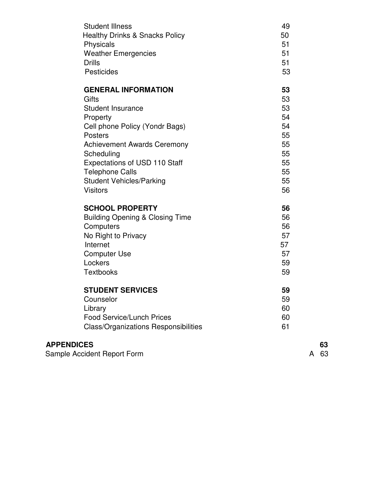| <b>Student Illness</b><br><b>Healthy Drinks &amp; Snacks Policy</b><br>Physicals<br><b>Weather Emergencies</b><br><b>Drills</b><br><b>Pesticides</b> | 49<br>50<br>51<br>51<br>51<br>53 |
|------------------------------------------------------------------------------------------------------------------------------------------------------|----------------------------------|
| <b>GENERAL INFORMATION</b>                                                                                                                           | 53                               |
| Gifts                                                                                                                                                | 53                               |
| <b>Student Insurance</b>                                                                                                                             | 53                               |
| Property                                                                                                                                             | 54                               |
| Cell phone Policy (Yondr Bags)                                                                                                                       | 54                               |
| <b>Posters</b>                                                                                                                                       | 55                               |
| <b>Achievement Awards Ceremony</b>                                                                                                                   | 55                               |
| Scheduling                                                                                                                                           | 55                               |
| Expectations of USD 110 Staff                                                                                                                        | 55                               |
| <b>Telephone Calls</b>                                                                                                                               | 55                               |
| <b>Student Vehicles/Parking</b>                                                                                                                      | 55                               |
| <b>Visitors</b>                                                                                                                                      | 56                               |
| <b>SCHOOL PROPERTY</b>                                                                                                                               | 56                               |
| <b>Building Opening &amp; Closing Time</b>                                                                                                           | 56                               |
| Computers                                                                                                                                            | 56                               |
| No Right to Privacy                                                                                                                                  | 57                               |
| Internet                                                                                                                                             | 57                               |
| <b>Computer Use</b>                                                                                                                                  | 57                               |
| Lockers                                                                                                                                              | 59                               |
| <b>Textbooks</b>                                                                                                                                     | 59                               |
| <b>STUDENT SERVICES</b>                                                                                                                              | 59                               |
| Counselor                                                                                                                                            | 59                               |
| Library                                                                                                                                              | 60                               |
| <b>Food Service/Lunch Prices</b>                                                                                                                     | 60                               |
| <b>Class/Organizations Responsibilities</b>                                                                                                          | 61                               |
| <b>APPENDICES</b>                                                                                                                                    |                                  |

**APPENDICES** 63<br>
Sample Accident Report Form 63 Sample Accident Report Form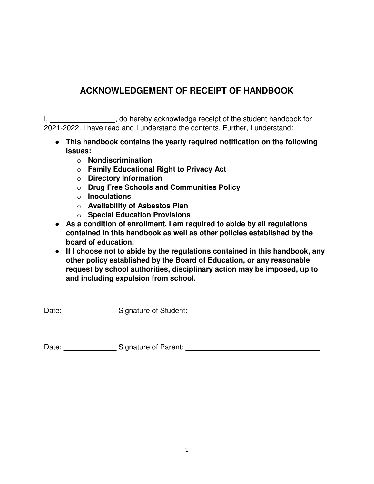# **ACKNOWLEDGEMENT OF RECEIPT OF HANDBOOK**

I, \_\_\_\_\_\_\_\_\_\_\_\_\_\_\_\_\_, do hereby acknowledge receipt of the student handbook for 2021-2022. I have read and I understand the contents. Further, I understand:

- **This handbook contains the yearly required notification on the following issues:** 
	- o **Nondiscrimination**
	- o **Family Educational Right to Privacy Act**
	- o **Directory Information**
	- o **Drug Free Schools and Communities Policy**
	- o **Inoculations**
	- o **Availability of Asbestos Plan**
	- o **Special Education Provisions**
- **As a condition of enrollment, I am required to abide by all regulations contained in this handbook as well as other policies established by the board of education.**
- **If I choose not to abide by the regulations contained in this handbook, any other policy established by the Board of Education, or any reasonable request by school authorities, disciplinary action may be imposed, up to and including expulsion from school.**

Date: \_\_\_\_\_\_\_\_\_\_\_\_\_\_\_\_\_\_ Signature of Student: \_\_\_\_\_\_\_\_\_\_\_\_\_\_\_\_\_\_\_\_\_\_\_\_\_\_\_\_\_\_\_\_\_\_

Date: \_\_\_\_\_\_\_\_\_\_\_\_\_\_\_\_\_\_\_ Signature of Parent: \_\_\_\_\_\_\_\_\_\_\_\_\_\_\_\_\_\_\_\_\_\_\_\_\_\_\_\_\_\_\_\_\_\_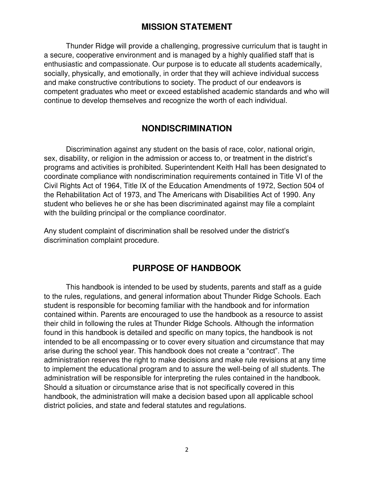#### **MISSION STATEMENT**

Thunder Ridge will provide a challenging, progressive curriculum that is taught in a secure, cooperative environment and is managed by a highly qualified staff that is enthusiastic and compassionate. Our purpose is to educate all students academically, socially, physically, and emotionally, in order that they will achieve individual success and make constructive contributions to society. The product of our endeavors is competent graduates who meet or exceed established academic standards and who will continue to develop themselves and recognize the worth of each individual.

### **NONDISCRIMINATION**

Discrimination against any student on the basis of race, color, national origin, sex, disability, or religion in the admission or access to, or treatment in the district's programs and activities is prohibited. Superintendent Keith Hall has been designated to coordinate compliance with nondiscrimination requirements contained in Title VI of the Civil Rights Act of 1964, Title IX of the Education Amendments of 1972, Section 504 of the Rehabilitation Act of 1973, and The Americans with Disabilities Act of 1990. Any student who believes he or she has been discriminated against may file a complaint with the building principal or the compliance coordinator.

Any student complaint of discrimination shall be resolved under the district's discrimination complaint procedure.

### **PURPOSE OF HANDBOOK**

This handbook is intended to be used by students, parents and staff as a guide to the rules, regulations, and general information about Thunder Ridge Schools. Each student is responsible for becoming familiar with the handbook and for information contained within. Parents are encouraged to use the handbook as a resource to assist their child in following the rules at Thunder Ridge Schools. Although the information found in this handbook is detailed and specific on many topics, the handbook is not intended to be all encompassing or to cover every situation and circumstance that may arise during the school year. This handbook does not create a "contract". The administration reserves the right to make decisions and make rule revisions at any time to implement the educational program and to assure the well-being of all students. The administration will be responsible for interpreting the rules contained in the handbook. Should a situation or circumstance arise that is not specifically covered in this handbook, the administration will make a decision based upon all applicable school district policies, and state and federal statutes and regulations.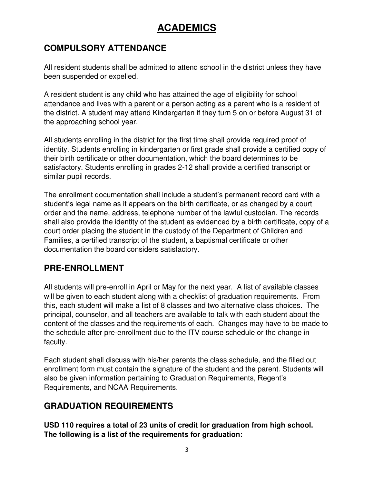# **ACADEMICS**

# **COMPULSORY ATTENDANCE**

All resident students shall be admitted to attend school in the district unless they have been suspended or expelled.

A resident student is any child who has attained the age of eligibility for school attendance and lives with a parent or a person acting as a parent who is a resident of the district. A student may attend Kindergarten if they turn 5 on or before August 31 of the approaching school year.

All students enrolling in the district for the first time shall provide required proof of identity. Students enrolling in kindergarten or first grade shall provide a certified copy of their birth certificate or other documentation, which the board determines to be satisfactory. Students enrolling in grades 2-12 shall provide a certified transcript or similar pupil records.

The enrollment documentation shall include a student's permanent record card with a student's legal name as it appears on the birth certificate, or as changed by a court order and the name, address, telephone number of the lawful custodian. The records shall also provide the identity of the student as evidenced by a birth certificate, copy of a court order placing the student in the custody of the Department of Children and Families, a certified transcript of the student, a baptismal certificate or other documentation the board considers satisfactory.

# **PRE-ENROLLMENT**

All students will pre-enroll in April or May for the next year. A list of available classes will be given to each student along with a checklist of graduation requirements. From this, each student will make a list of 8 classes and two alternative class choices. The principal, counselor, and all teachers are available to talk with each student about the content of the classes and the requirements of each. Changes may have to be made to the schedule after pre-enrollment due to the ITV course schedule or the change in faculty.

Each student shall discuss with his/her parents the class schedule, and the filled out enrollment form must contain the signature of the student and the parent. Students will also be given information pertaining to Graduation Requirements, Regent's Requirements, and NCAA Requirements.

# **GRADUATION REQUIREMENTS**

**USD 110 requires a total of 23 units of credit for graduation from high school. The following is a list of the requirements for graduation:**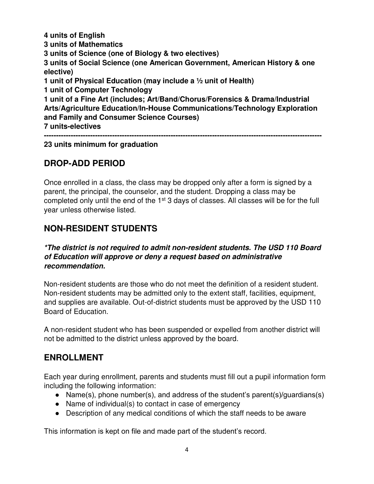**4 units of English 3 units of Mathematics 3 units of Science (one of Biology & two electives) 3 units of Social Science (one American Government, American History & one elective) 1 unit of Physical Education (may include a ½ unit of Health) 1 unit of Computer Technology 1 unit of a Fine Art (includes; Art/Band/Chorus/Forensics & Drama/Industrial Arts/Agriculture Education/In-House Communications/Technology Exploration and Family and Consumer Science Courses) 7 units-electives ------------------------------------------------------------------------------------------------------------------** 

#### **23 units minimum for graduation**

#### **DROP-ADD PERIOD**

Once enrolled in a class, the class may be dropped only after a form is signed by a parent, the principal, the counselor, and the student. Dropping a class may be completed only until the end of the  $1<sup>st</sup>$  3 days of classes. All classes will be for the full year unless otherwise listed.

#### **NON-RESIDENT STUDENTS**

#### *\*The district is not required to admit non-resident students. The USD 110 Board of Education will approve or deny a request based on administrative recommendation.*

Non-resident students are those who do not meet the definition of a resident student. Non-resident students may be admitted only to the extent staff, facilities, equipment, and supplies are available. Out-of-district students must be approved by the USD 110 Board of Education.

A non-resident student who has been suspended or expelled from another district will not be admitted to the district unless approved by the board.

#### **ENROLLMENT**

Each year during enrollment, parents and students must fill out a pupil information form including the following information:

- Name(s), phone number(s), and address of the student's parent(s)/guardians(s)
- Name of individual(s) to contact in case of emergency
- Description of any medical conditions of which the staff needs to be aware

This information is kept on file and made part of the student's record.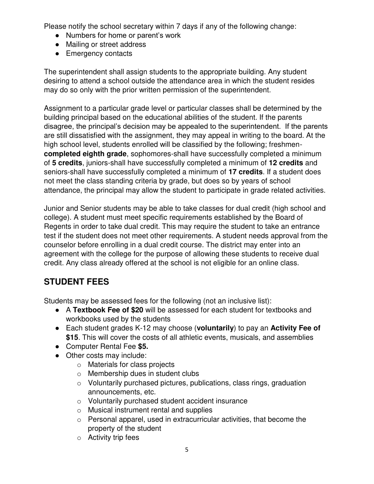Please notify the school secretary within 7 days if any of the following change:

- Numbers for home or parent's work
- Mailing or street address
- Emergency contacts

The superintendent shall assign students to the appropriate building. Any student desiring to attend a school outside the attendance area in which the student resides may do so only with the prior written permission of the superintendent.

Assignment to a particular grade level or particular classes shall be determined by the building principal based on the educational abilities of the student. If the parents disagree, the principal's decision may be appealed to the superintendent. If the parents are still dissatisfied with the assignment, they may appeal in writing to the board. At the high school level, students enrolled will be classified by the following; freshmen**completed eighth grade**, sophomores-shall have successfully completed a minimum of **5 credits**, juniors-shall have successfully completed a minimum of **12 credits** and seniors-shall have successfully completed a minimum of **17 credits**. If a student does not meet the class standing criteria by grade, but does so by years of school attendance, the principal may allow the student to participate in grade related activities.

Junior and Senior students may be able to take classes for dual credit (high school and college). A student must meet specific requirements established by the Board of Regents in order to take dual credit. This may require the student to take an entrance test if the student does not meet other requirements. A student needs approval from the counselor before enrolling in a dual credit course. The district may enter into an agreement with the college for the purpose of allowing these students to receive dual credit. Any class already offered at the school is not eligible for an online class.

# **STUDENT FEES**

Students may be assessed fees for the following (not an inclusive list):

- A **Textbook Fee of \$20** will be assessed for each student for textbooks and workbooks used by the students
- Each student grades K-12 may choose (**voluntarily**) to pay an **Activity Fee of \$15**. This will cover the costs of all athletic events, musicals, and assemblies
- Computer Rental Fee **\$5.**
- Other costs may include:
	- o Materials for class projects
	- o Membership dues in student clubs
	- o Voluntarily purchased pictures, publications, class rings, graduation announcements, etc.
	- o Voluntarily purchased student accident insurance
	- o Musical instrument rental and supplies
	- o Personal apparel, used in extracurricular activities, that become the property of the student
	- o Activity trip fees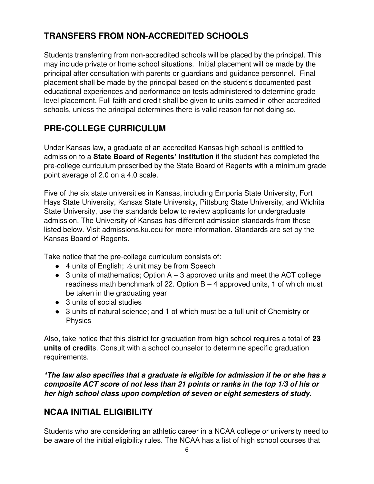# **TRANSFERS FROM NON-ACCREDITED SCHOOLS**

Students transferring from non-accredited schools will be placed by the principal. This may include private or home school situations. Initial placement will be made by the principal after consultation with parents or guardians and guidance personnel. Final placement shall be made by the principal based on the student's documented past educational experiences and performance on tests administered to determine grade level placement. Full faith and credit shall be given to units earned in other accredited schools, unless the principal determines there is valid reason for not doing so.

# **PRE-COLLEGE CURRICULUM**

Under Kansas law, a graduate of an accredited Kansas high school is entitled to admission to a **State Board of Regents' Institution** if the student has completed the pre-college curriculum prescribed by the State Board of Regents with a minimum grade point average of 2.0 on a 4.0 scale.

Five of the six state universities in Kansas, including Emporia State University, Fort Hays State University, Kansas State University, Pittsburg State University, and Wichita State University, use the standards below to review applicants for undergraduate admission. The University of Kansas has different admission standards from those listed below. Visit admissions.ku.edu for more information. Standards are set by the Kansas Board of Regents.

Take notice that the pre-college curriculum consists of:

- $\bullet$  4 units of English;  $\frac{1}{2}$  unit may be from Speech
- $\bullet$  3 units of mathematics; Option A 3 approved units and meet the ACT college readiness math benchmark of 22. Option  $B - 4$  approved units, 1 of which must be taken in the graduating year
- 3 units of social studies
- 3 units of natural science; and 1 of which must be a full unit of Chemistry or Physics

Also, take notice that this district for graduation from high school requires a total of **23 units of credit**s. Consult with a school counselor to determine specific graduation requirements.

*\*The law also specifies that a graduate is eligible for admission if he or she has a composite ACT score of not less than 21 points or ranks in the top 1/3 of his or her high school class upon completion of seven or eight semesters of study.* 

# **NCAA INITIAL ELIGIBILITY**

Students who are considering an athletic career in a NCAA college or university need to be aware of the initial eligibility rules. The NCAA has a list of high school courses that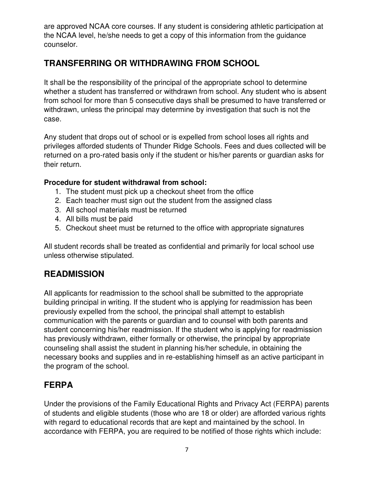are approved NCAA core courses. If any student is considering athletic participation at the NCAA level, he/she needs to get a copy of this information from the guidance counselor.

# **TRANSFERRING OR WITHDRAWING FROM SCHOOL**

It shall be the responsibility of the principal of the appropriate school to determine whether a student has transferred or withdrawn from school. Any student who is absent from school for more than 5 consecutive days shall be presumed to have transferred or withdrawn, unless the principal may determine by investigation that such is not the case.

Any student that drops out of school or is expelled from school loses all rights and privileges afforded students of Thunder Ridge Schools. Fees and dues collected will be returned on a pro-rated basis only if the student or his/her parents or guardian asks for their return.

#### **Procedure for student withdrawal from school:**

- 1. The student must pick up a checkout sheet from the office
- 2. Each teacher must sign out the student from the assigned class
- 3. All school materials must be returned
- 4. All bills must be paid
- 5. Checkout sheet must be returned to the office with appropriate signatures

All student records shall be treated as confidential and primarily for local school use unless otherwise stipulated.

### **READMISSION**

All applicants for readmission to the school shall be submitted to the appropriate building principal in writing. If the student who is applying for readmission has been previously expelled from the school, the principal shall attempt to establish communication with the parents or guardian and to counsel with both parents and student concerning his/her readmission. If the student who is applying for readmission has previously withdrawn, either formally or otherwise, the principal by appropriate counseling shall assist the student in planning his/her schedule, in obtaining the necessary books and supplies and in re-establishing himself as an active participant in the program of the school.

### **FERPA**

Under the provisions of the Family Educational Rights and Privacy Act (FERPA) parents of students and eligible students (those who are 18 or older) are afforded various rights with regard to educational records that are kept and maintained by the school. In accordance with FERPA, you are required to be notified of those rights which include: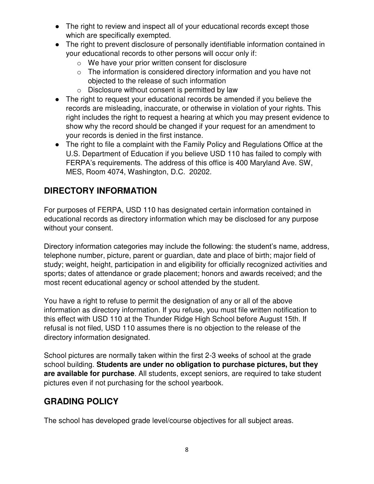- The right to review and inspect all of your educational records except those which are specifically exempted.
- The right to prevent disclosure of personally identifiable information contained in your educational records to other persons will occur only if:
	- o We have your prior written consent for disclosure
	- $\circ$  The information is considered directory information and you have not objected to the release of such information
	- o Disclosure without consent is permitted by law
- The right to request your educational records be amended if you believe the records are misleading, inaccurate, or otherwise in violation of your rights. This right includes the right to request a hearing at which you may present evidence to show why the record should be changed if your request for an amendment to your records is denied in the first instance.
- The right to file a complaint with the Family Policy and Regulations Office at the U.S. Department of Education if you believe USD 110 has failed to comply with FERPA's requirements. The address of this office is 400 Maryland Ave. SW, MES, Room 4074, Washington, D.C. 20202.

# **DIRECTORY INFORMATION**

For purposes of FERPA, USD 110 has designated certain information contained in educational records as directory information which may be disclosed for any purpose without your consent.

Directory information categories may include the following: the student's name, address, telephone number, picture, parent or guardian, date and place of birth; major field of study; weight, height, participation in and eligibility for officially recognized activities and sports; dates of attendance or grade placement; honors and awards received; and the most recent educational agency or school attended by the student.

You have a right to refuse to permit the designation of any or all of the above information as directory information. If you refuse, you must file written notification to this effect with USD 110 at the Thunder Ridge High School before August 15th. If refusal is not filed, USD 110 assumes there is no objection to the release of the directory information designated.

School pictures are normally taken within the first 2-3 weeks of school at the grade school building. **Students are under no obligation to purchase pictures, but they are available for purchase**. All students, except seniors, are required to take student pictures even if not purchasing for the school yearbook.

# **GRADING POLICY**

The school has developed grade level/course objectives for all subject areas.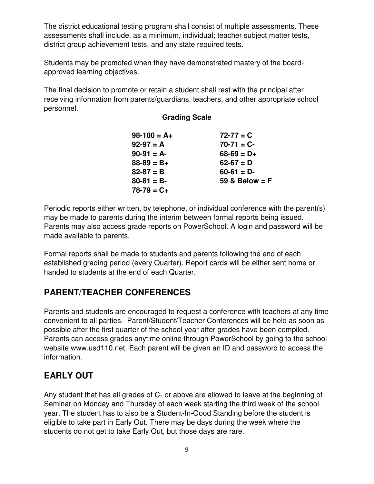The district educational testing program shall consist of multiple assessments. These assessments shall include, as a minimum, individual; teacher subject matter tests, district group achievement tests, and any state required tests.

Students may be promoted when they have demonstrated mastery of the boardapproved learning objectives.

The final decision to promote or retain a student shall rest with the principal after receiving information from parents/guardians, teachers, and other appropriate school personnel.

#### **Grading Scale**

| $98-100 = A+$   | $72 - 77 = C$    |
|-----------------|------------------|
| $92-97 = A$     | $70-71 = C$      |
| $90-91 = A$     | $68 - 69 = D +$  |
| $88 - 89 = B +$ | $62 - 67 = D$    |
| $82 - 87 = B$   | $60-61 = D$      |
| $80-81 = B$     | 59 & Below $=$ F |
| $78-79 = C+$    |                  |

Periodic reports either written, by telephone, or individual conference with the parent(s) may be made to parents during the interim between formal reports being issued. Parents may also access grade reports on PowerSchool. A login and password will be made available to parents.

Formal reports shall be made to students and parents following the end of each established grading period (every Quarter). Report cards will be either sent home or handed to students at the end of each Quarter.

# **PARENT/TEACHER CONFERENCES**

Parents and students are encouraged to request a conference with teachers at any time convenient to all parties. Parent/Student/Teacher Conferences will be held as soon as possible after the first quarter of the school year after grades have been compiled. Parents can access grades anytime online through PowerSchool by going to the school website www.usd110.net. Each parent will be given an ID and password to access the information.

# **EARLY OUT**

Any student that has all grades of C- or above are allowed to leave at the beginning of Seminar on Monday and Thursday of each week starting the third week of the school year. The student has to also be a Student-In-Good Standing before the student is eligible to take part in Early Out. There may be days during the week where the students do not get to take Early Out, but those days are rare.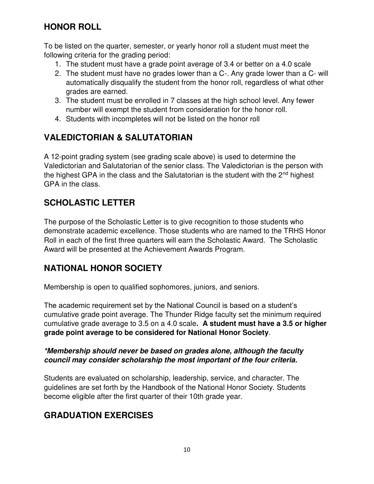### **HONOR ROLL**

To be listed on the quarter, semester, or yearly honor roll a student must meet the following criteria for the grading period:

- 1. The student must have a grade point average of 3.4 or better on a 4.0 scale
- 2. The student must have no grades lower than a C-. Any grade lower than a C- will automatically disqualify the student from the honor roll, regardless of what other grades are earned.
- 3. The student must be enrolled in 7 classes at the high school level. Any fewer number will exempt the student from consideration for the honor roll.
- 4. Students with incompletes will not be listed on the honor roll

# **VALEDICTORIAN & SALUTATORIAN**

A 12-point grading system (see grading scale above) is used to determine the Valedictorian and Salutatorian of the senior class. The Valedictorian is the person with the highest GPA in the class and the Salutatorian is the student with the  $2<sup>nd</sup>$  highest GPA in the class.

# **SCHOLASTIC LETTER**

The purpose of the Scholastic Letter is to give recognition to those students who demonstrate academic excellence. Those students who are named to the TRHS Honor Roll in each of the first three quarters will earn the Scholastic Award. The Scholastic Award will be presented at the Achievement Awards Program.

# **NATIONAL HONOR SOCIETY**

Membership is open to qualified sophomores, juniors, and seniors.

The academic requirement set by the National Council is based on a student's cumulative grade point average. The Thunder Ridge faculty set the minimum required cumulative grade average to 3.5 on a 4.0 scale**. A student must have a 3.5 or higher grade point average to be considered for National Honor Society**.

#### *\*Membership should never be based on grades alone, although the faculty council may consider scholarship the most important of the four criteria.*

Students are evaluated on scholarship, leadership, service, and character. The guidelines are set forth by the Handbook of the National Honor Society. Students become eligible after the first quarter of their 10th grade year.

# **GRADUATION EXERCISES**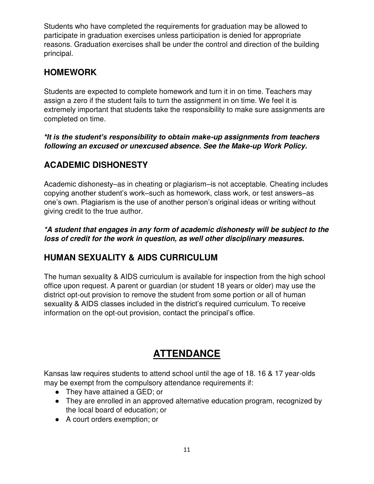Students who have completed the requirements for graduation may be allowed to participate in graduation exercises unless participation is denied for appropriate reasons. Graduation exercises shall be under the control and direction of the building principal.

# **HOMEWORK**

Students are expected to complete homework and turn it in on time. Teachers may assign a zero if the student fails to turn the assignment in on time. We feel it is extremely important that students take the responsibility to make sure assignments are completed on time.

#### *\*It is the student's responsibility to obtain make-up assignments from teachers following an excused or unexcused absence. See the Make-up Work Policy.*

# **ACADEMIC DISHONESTY**

Academic dishonesty–as in cheating or plagiarism–is not acceptable. Cheating includes copying another student's work–such as homework, class work, or test answers–as one's own. Plagiarism is the use of another person's original ideas or writing without giving credit to the true author.

*\*A student that engages in any form of academic dishonesty will be subject to the loss of credit for the work in question, as well other disciplinary measures.* 

# **HUMAN SEXUALITY & AIDS CURRICULUM**

The human sexuality & AIDS curriculum is available for inspection from the high school office upon request. A parent or guardian (or student 18 years or older) may use the district opt-out provision to remove the student from some portion or all of human sexuality & AIDS classes included in the district's required curriculum. To receive information on the opt-out provision, contact the principal's office.

# **ATTENDANCE**

Kansas law requires students to attend school until the age of 18. 16 & 17 year-olds may be exempt from the compulsory attendance requirements if:

- They have attained a GED; or
- They are enrolled in an approved alternative education program, recognized by the local board of education; or
- A court orders exemption; or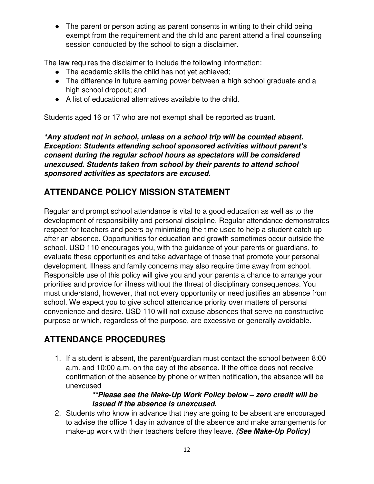• The parent or person acting as parent consents in writing to their child being exempt from the requirement and the child and parent attend a final counseling session conducted by the school to sign a disclaimer.

The law requires the disclaimer to include the following information:

- The academic skills the child has not yet achieved;
- The difference in future earning power between a high school graduate and a high school dropout; and
- A list of educational alternatives available to the child.

Students aged 16 or 17 who are not exempt shall be reported as truant.

*\*Any student not in school, unless on a school trip will be counted absent. Exception: Students attending school sponsored activities without parent's consent during the regular school hours as spectators will be considered unexcused. Students taken from school by their parents to attend school sponsored activities as spectators are excused.*

# **ATTENDANCE POLICY MISSION STATEMENT**

Regular and prompt school attendance is vital to a good education as well as to the development of responsibility and personal discipline. Regular attendance demonstrates respect for teachers and peers by minimizing the time used to help a student catch up after an absence. Opportunities for education and growth sometimes occur outside the school. USD 110 encourages you, with the guidance of your parents or guardians, to evaluate these opportunities and take advantage of those that promote your personal development. Illness and family concerns may also require time away from school. Responsible use of this policy will give you and your parents a chance to arrange your priorities and provide for illness without the threat of disciplinary consequences. You must understand, however, that not every opportunity or need justifies an absence from school. We expect you to give school attendance priority over matters of personal convenience and desire. USD 110 will not excuse absences that serve no constructive purpose or which, regardless of the purpose, are excessive or generally avoidable.

# **ATTENDANCE PROCEDURES**

1. If a student is absent, the parent/guardian must contact the school between 8:00 a.m. and 10:00 a.m. on the day of the absence. If the office does not receive confirmation of the absence by phone or written notification, the absence will be unexcused

#### *\*\*Please see the Make-Up Work Policy below – zero credit will be issued if the absence is unexcused.*

2. Students who know in advance that they are going to be absent are encouraged to advise the office 1 day in advance of the absence and make arrangements for make-up work with their teachers before they leave. *(See Make-Up Policy)*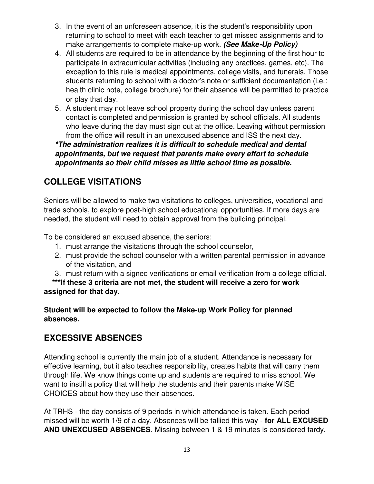- 3. In the event of an unforeseen absence, it is the student's responsibility upon returning to school to meet with each teacher to get missed assignments and to make arrangements to complete make-up work. *(See Make-Up Policy)*
- 4. All students are required to be in attendance by the beginning of the first hour to participate in extracurricular activities (including any practices, games, etc). The exception to this rule is medical appointments, college visits, and funerals. Those students returning to school with a doctor's note or sufficient documentation (i.e.: health clinic note, college brochure) for their absence will be permitted to practice or play that day.
- 5. A student may not leave school property during the school day unless parent contact is completed and permission is granted by school officials. All students who leave during the day must sign out at the office. Leaving without permission from the office will result in an unexcused absence and ISS the next day.

*\*The administration realizes it is difficult to schedule medical and dental appointments, but we request that parents make every effort to schedule appointments so their child misses as little school time as possible.*

# **COLLEGE VISITATIONS**

Seniors will be allowed to make two visitations to colleges, universities, vocational and trade schools, to explore post-high school educational opportunities. If more days are needed, the student will need to obtain approval from the building principal.

To be considered an excused absence, the seniors:

- 1. must arrange the visitations through the school counselor,
- 2. must provide the school counselor with a written parental permission in advance of the visitation, and
- 3. must return with a signed verifications or email verification from a college official.

 **\*\*\*If these 3 criteria are not met, the student will receive a zero for work assigned for that day.** 

#### **Student will be expected to follow the Make-up Work Policy for planned absences.**

#### **EXCESSIVE ABSENCES**

Attending school is currently the main job of a student. Attendance is necessary for effective learning, but it also teaches responsibility, creates habits that will carry them through life. We know things come up and students are required to miss school. We want to instill a policy that will help the students and their parents make WISE CHOICES about how they use their absences.

At TRHS - the day consists of 9 periods in which attendance is taken. Each period missed will be worth 1/9 of a day. Absences will be tallied this way - **for ALL EXCUSED AND UNEXCUSED ABSENCES**. Missing between 1 & 19 minutes is considered tardy,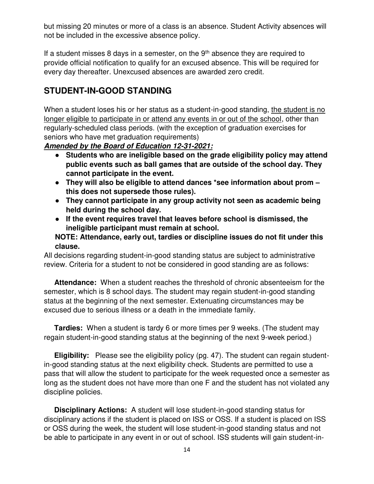but missing 20 minutes or more of a class is an absence. Student Activity absences will not be included in the excessive absence policy.

If a student misses 8 days in a semester, on the  $9<sup>th</sup>$  absence they are required to provide official notification to qualify for an excused absence. This will be required for every day thereafter. Unexcused absences are awarded zero credit.

### **STUDENT-IN-GOOD STANDING**

When a student loses his or her status as a student-in-good standing, the student is no longer eligible to participate in or attend any events in or out of the school, other than regularly-scheduled class periods. (with the exception of graduation exercises for seniors who have met graduation requirements)

*Amended by the Board of Education 12-31-2021:*

- **Students who are ineligible based on the grade eligibility policy may attend public events such as ball games that are outside of the school day. They cannot participate in the event.**
- **They will also be eligible to attend dances \*see information about prom – this does not supersede those rules).**
- **They cannot participate in any group activity not seen as academic being held during the school day.**
- **If the event requires travel that leaves before school is dismissed, the ineligible participant must remain at school.**

**NOTE: Attendance, early out, tardies or discipline issues do not fit under this clause.** 

All decisions regarding student-in-good standing status are subject to administrative review. Criteria for a student to not be considered in good standing are as follows:

 **Attendance:** When a student reaches the threshold of chronic absenteeism for the semester, which is 8 school days. The student may regain student-in-good standing status at the beginning of the next semester. Extenuating circumstances may be excused due to serious illness or a death in the immediate family.

 **Tardies:** When a student is tardy 6 or more times per 9 weeks. (The student may regain student-in-good standing status at the beginning of the next 9-week period.)

 **Eligibility:** Please see the eligibility policy (pg. 47). The student can regain studentin-good standing status at the next eligibility check. Students are permitted to use a pass that will allow the student to participate for the week requested once a semester as long as the student does not have more than one F and the student has not violated any discipline policies.

 **Disciplinary Actions:** A student will lose student-in-good standing status for disciplinary actions if the student is placed on ISS or OSS. If a student is placed on ISS or OSS during the week, the student will lose student-in-good standing status and not be able to participate in any event in or out of school. ISS students will gain student-in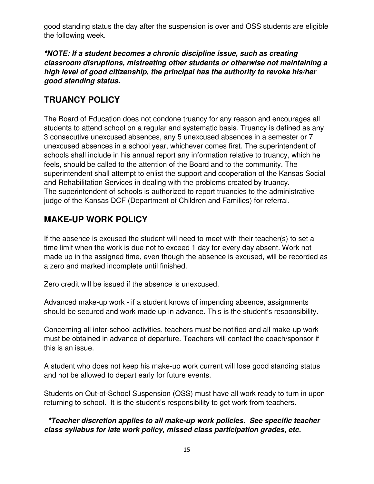good standing status the day after the suspension is over and OSS students are eligible the following week.

*\*NOTE: If a student becomes a chronic discipline issue, such as creating classroom disruptions, mistreating other students or otherwise not maintaining a high level of good citizenship, the principal has the authority to revoke his/her good standing status.* 

### **TRUANCY POLICY**

The Board of Education does not condone truancy for any reason and encourages all students to attend school on a regular and systematic basis. Truancy is defined as any 3 consecutive unexcused absences, any 5 unexcused absences in a semester or 7 unexcused absences in a school year, whichever comes first. The superintendent of schools shall include in his annual report any information relative to truancy, which he feels, should be called to the attention of the Board and to the community. The superintendent shall attempt to enlist the support and cooperation of the Kansas Social and Rehabilitation Services in dealing with the problems created by truancy. The superintendent of schools is authorized to report truancies to the administrative judge of the Kansas DCF (Department of Children and Families) for referral.

# **MAKE-UP WORK POLICY**

If the absence is excused the student will need to meet with their teacher(s) to set a time limit when the work is due not to exceed 1 day for every day absent. Work not made up in the assigned time, even though the absence is excused, will be recorded as a zero and marked incomplete until finished.

Zero credit will be issued if the absence is unexcused.

Advanced make-up work - if a student knows of impending absence, assignments should be secured and work made up in advance. This is the student's responsibility.

Concerning all inter-school activities, teachers must be notified and all make-up work must be obtained in advance of departure. Teachers will contact the coach/sponsor if this is an issue.

A student who does not keep his make-up work current will lose good standing status and not be allowed to depart early for future events.

Students on Out-of-School Suspension (OSS) must have all work ready to turn in upon returning to school. It is the student's responsibility to get work from teachers.

 *\*Teacher discretion applies to all make-up work policies. See specific teacher class syllabus for late work policy, missed class participation grades, etc.*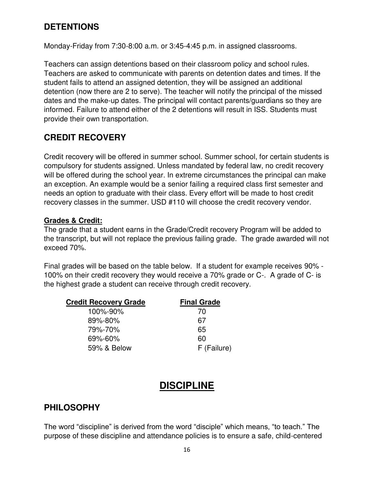### **DETENTIONS**

Monday-Friday from 7:30-8:00 a.m. or 3:45-4:45 p.m. in assigned classrooms.

Teachers can assign detentions based on their classroom policy and school rules. Teachers are asked to communicate with parents on detention dates and times. If the student fails to attend an assigned detention, they will be assigned an additional detention (now there are 2 to serve). The teacher will notify the principal of the missed dates and the make-up dates. The principal will contact parents/guardians so they are informed. Failure to attend either of the 2 detentions will result in ISS. Students must provide their own transportation.

### **CREDIT RECOVERY**

Credit recovery will be offered in summer school. Summer school, for certain students is compulsory for students assigned. Unless mandated by federal law, no credit recovery will be offered during the school year. In extreme circumstances the principal can make an exception. An example would be a senior failing a required class first semester and needs an option to graduate with their class. Every effort will be made to host credit recovery classes in the summer. USD #110 will choose the credit recovery vendor.

#### **Grades & Credit:**

The grade that a student earns in the Grade/Credit recovery Program will be added to the transcript, but will not replace the previous failing grade. The grade awarded will not exceed 70%.

Final grades will be based on the table below. If a student for example receives 90% - 100% on their credit recovery they would receive a 70% grade or C-. A grade of C- is the highest grade a student can receive through credit recovery.

| <b>Final Grade</b> |
|--------------------|
| 70                 |
| 67                 |
| 65                 |
| 60                 |
| F (Failure)        |
|                    |

# **DISCIPLINE**

### **PHILOSOPHY**

The word "discipline" is derived from the word "disciple" which means, "to teach." The purpose of these discipline and attendance policies is to ensure a safe, child-centered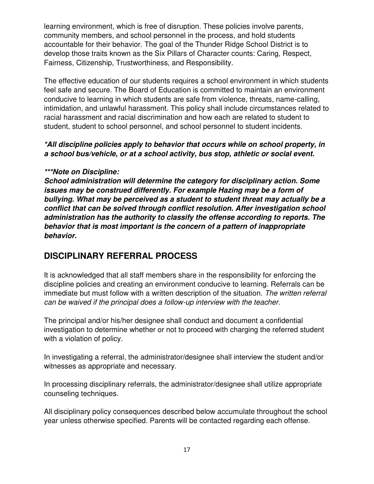learning environment, which is free of disruption. These policies involve parents, community members, and school personnel in the process, and hold students accountable for their behavior. The goal of the Thunder Ridge School District is to develop those traits known as the Six Pillars of Character counts: Caring, Respect, Fairness, Citizenship, Trustworthiness, and Responsibility.

The effective education of our students requires a school environment in which students feel safe and secure. The Board of Education is committed to maintain an environment conducive to learning in which students are safe from violence, threats, name-calling, intimidation, and unlawful harassment. This policy shall include circumstances related to racial harassment and racial discrimination and how each are related to student to student, student to school personnel, and school personnel to student incidents.

#### *\*All discipline policies apply to behavior that occurs while on school property, in a school bus/vehicle, or at a school activity, bus stop, athletic or social event.*

#### *\*\*\*Note on Discipline:*

*School administration will determine the category for disciplinary action. Some issues may be construed differently. For example Hazing may be a form of bullying. What may be perceived as a student to student threat may actually be a conflict that can be solved through conflict resolution. After investigation school administration has the authority to classify the offense according to reports. The behavior that is most important is the concern of a pattern of inappropriate behavior.*

#### **DISCIPLINARY REFERRAL PROCESS**

It is acknowledged that all staff members share in the responsibility for enforcing the discipline policies and creating an environment conducive to learning. Referrals can be immediate but must follow with a written description of the situation. *The written referral can be waived if the principal does a follow-up interview with the teacher.* 

The principal and/or his/her designee shall conduct and document a confidential investigation to determine whether or not to proceed with charging the referred student with a violation of policy.

In investigating a referral, the administrator/designee shall interview the student and/or witnesses as appropriate and necessary.

In processing disciplinary referrals, the administrator/designee shall utilize appropriate counseling techniques.

All disciplinary policy consequences described below accumulate throughout the school year unless otherwise specified. Parents will be contacted regarding each offense.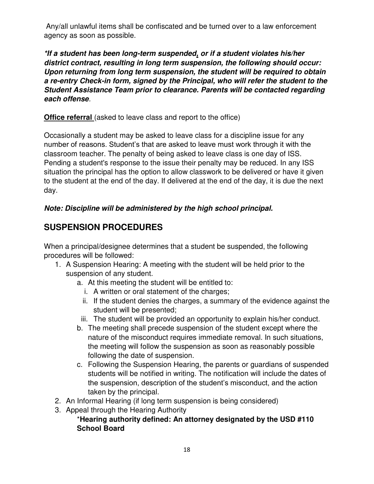Any/all unlawful items shall be confiscated and be turned over to a law enforcement agency as soon as possible.

*\*If a student has been long-term suspended, or if a student violates his/her district contract, resulting in long term suspension, the following should occur: Upon returning from long term suspension, the student will be required to obtain a re-entry Check-in form, signed by the Principal, who will refer the student to the Student Assistance Team prior to clearance. Parents will be contacted regarding each offense.* 

**Office referral** (asked to leave class and report to the office)

Occasionally a student may be asked to leave class for a discipline issue for any number of reasons. Student's that are asked to leave must work through it with the classroom teacher. The penalty of being asked to leave class is one day of ISS. Pending a student's response to the issue their penalty may be reduced. In any ISS situation the principal has the option to allow classwork to be delivered or have it given to the student at the end of the day. If delivered at the end of the day, it is due the next day.

#### *Note: Discipline will be administered by the high school principal.*

# **SUSPENSION PROCEDURES**

When a principal/designee determines that a student be suspended, the following procedures will be followed:

- 1. A Suspension Hearing: A meeting with the student will be held prior to the suspension of any student.
	- a. At this meeting the student will be entitled to:
		- i. A written or oral statement of the charges;
		- ii. If the student denies the charges, a summary of the evidence against the student will be presented;
	- iii. The student will be provided an opportunity to explain his/her conduct.
	- b. The meeting shall precede suspension of the student except where the nature of the misconduct requires immediate removal. In such situations, the meeting will follow the suspension as soon as reasonably possible following the date of suspension.
	- c. Following the Suspension Hearing, the parents or guardians of suspended students will be notified in writing. The notification will include the dates of the suspension, description of the student's misconduct, and the action taken by the principal.
- 2. An Informal Hearing (if long term suspension is being considered)
- 3. Appeal through the Hearing Authority

#### \***Hearing authority defined: An attorney designated by the USD #110 School Board**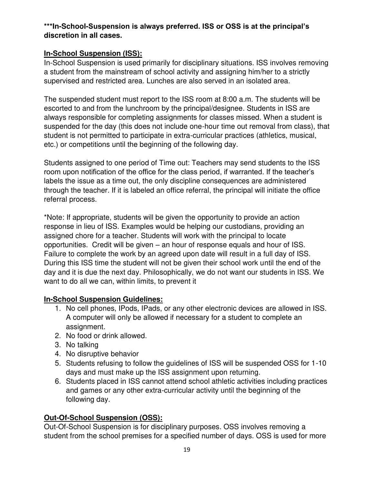#### **\*\*\*In-School-Suspension is always preferred. ISS or OSS is at the principal's discretion in all cases.**

#### **In-School Suspension (ISS):**

In-School Suspension is used primarily for disciplinary situations. ISS involves removing a student from the mainstream of school activity and assigning him/her to a strictly supervised and restricted area. Lunches are also served in an isolated area.

The suspended student must report to the ISS room at 8:00 a.m. The students will be escorted to and from the lunchroom by the principal/designee. Students in ISS are always responsible for completing assignments for classes missed. When a student is suspended for the day (this does not include one-hour time out removal from class), that student is not permitted to participate in extra-curricular practices (athletics, musical, etc.) or competitions until the beginning of the following day.

Students assigned to one period of Time out: Teachers may send students to the ISS room upon notification of the office for the class period, if warranted. If the teacher's labels the issue as a time out, the only discipline consequences are administered through the teacher. If it is labeled an office referral, the principal will initiate the office referral process.

\*Note: If appropriate, students will be given the opportunity to provide an action response in lieu of ISS. Examples would be helping our custodians, providing an assigned chore for a teacher. Students will work with the principal to locate opportunities. Credit will be given – an hour of response equals and hour of ISS. Failure to complete the work by an agreed upon date will result in a full day of ISS. During this ISS time the student will not be given their school work until the end of the day and it is due the next day. Philosophically, we do not want our students in ISS. We want to do all we can, within limits, to prevent it

#### **In-School Suspension Guidelines:**

- 1. No cell phones, IPods, IPads, or any other electronic devices are allowed in ISS. A computer will only be allowed if necessary for a student to complete an assignment.
- 2. No food or drink allowed.
- 3. No talking
- 4. No disruptive behavior
- 5. Students refusing to follow the guidelines of ISS will be suspended OSS for 1-10 days and must make up the ISS assignment upon returning.
- 6. Students placed in ISS cannot attend school athletic activities including practices and games or any other extra-curricular activity until the beginning of the following day.

#### **Out-Of-School Suspension (OSS):**

Out-Of-School Suspension is for disciplinary purposes. OSS involves removing a student from the school premises for a specified number of days. OSS is used for more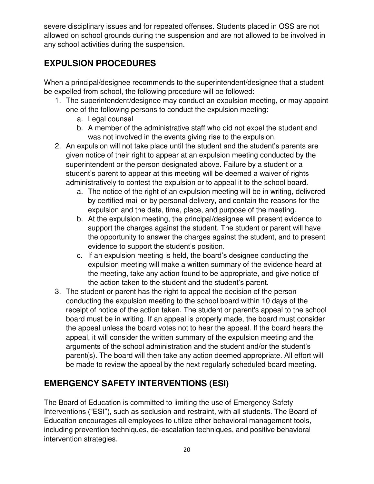severe disciplinary issues and for repeated offenses. Students placed in OSS are not allowed on school grounds during the suspension and are not allowed to be involved in any school activities during the suspension.

# **EXPULSION PROCEDURES**

When a principal/designee recommends to the superintendent/designee that a student be expelled from school, the following procedure will be followed:

- 1. The superintendent/designee may conduct an expulsion meeting, or may appoint one of the following persons to conduct the expulsion meeting:
	- a. Legal counsel
	- b. A member of the administrative staff who did not expel the student and was not involved in the events giving rise to the expulsion.
- 2. An expulsion will not take place until the student and the student's parents are given notice of their right to appear at an expulsion meeting conducted by the superintendent or the person designated above. Failure by a student or a student's parent to appear at this meeting will be deemed a waiver of rights administratively to contest the expulsion or to appeal it to the school board.
	- a. The notice of the right of an expulsion meeting will be in writing, delivered by certified mail or by personal delivery, and contain the reasons for the expulsion and the date, time, place, and purpose of the meeting.
	- b. At the expulsion meeting, the principal/designee will present evidence to support the charges against the student. The student or parent will have the opportunity to answer the charges against the student, and to present evidence to support the student's position.
	- c. If an expulsion meeting is held, the board's designee conducting the expulsion meeting will make a written summary of the evidence heard at the meeting, take any action found to be appropriate, and give notice of the action taken to the student and the student's parent.
- 3. The student or parent has the right to appeal the decision of the person conducting the expulsion meeting to the school board within 10 days of the receipt of notice of the action taken. The student or parent's appeal to the school board must be in writing. If an appeal is properly made, the board must consider the appeal unless the board votes not to hear the appeal. If the board hears the appeal, it will consider the written summary of the expulsion meeting and the arguments of the school administration and the student and/or the student's parent(s). The board will then take any action deemed appropriate. All effort will be made to review the appeal by the next regularly scheduled board meeting.

# **EMERGENCY SAFETY INTERVENTIONS (ESI)**

The Board of Education is committed to limiting the use of Emergency Safety Interventions ("ESI"), such as seclusion and restraint, with all students. The Board of Education encourages all employees to utilize other behavioral management tools, including prevention techniques, de-escalation techniques, and positive behavioral intervention strategies.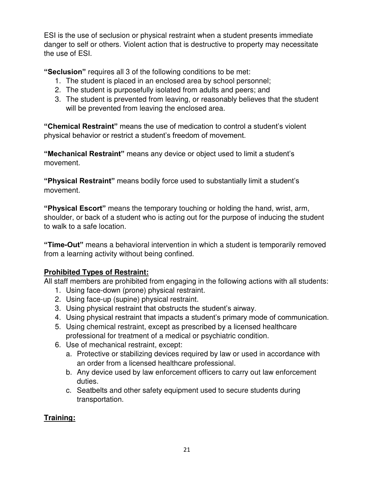ESI is the use of seclusion or physical restraint when a student presents immediate danger to self or others. Violent action that is destructive to property may necessitate the use of ESI.

**"Seclusion"** requires all 3 of the following conditions to be met:

- 1. The student is placed in an enclosed area by school personnel;
- 2. The student is purposefully isolated from adults and peers; and
- 3. The student is prevented from leaving, or reasonably believes that the student will be prevented from leaving the enclosed area.

**"Chemical Restraint"** means the use of medication to control a student's violent physical behavior or restrict a student's freedom of movement.

**"Mechanical Restraint"** means any device or object used to limit a student's movement.

**"Physical Restraint"** means bodily force used to substantially limit a student's movement.

**"Physical Escort"** means the temporary touching or holding the hand, wrist, arm, shoulder, or back of a student who is acting out for the purpose of inducing the student to walk to a safe location.

**"Time-Out"** means a behavioral intervention in which a student is temporarily removed from a learning activity without being confined.

#### **Prohibited Types of Restraint:**

All staff members are prohibited from engaging in the following actions with all students:

- 1. Using face-down (prone) physical restraint.
- 2. Using face-up (supine) physical restraint.
- 3. Using physical restraint that obstructs the student's airway.
- 4. Using physical restraint that impacts a student's primary mode of communication.
- 5. Using chemical restraint, except as prescribed by a licensed healthcare professional for treatment of a medical or psychiatric condition.
- 6. Use of mechanical restraint, except:
	- a. Protective or stabilizing devices required by law or used in accordance with an order from a licensed healthcare professional.
	- b. Any device used by law enforcement officers to carry out law enforcement duties.
	- c. Seatbelts and other safety equipment used to secure students during transportation.

#### **Training:**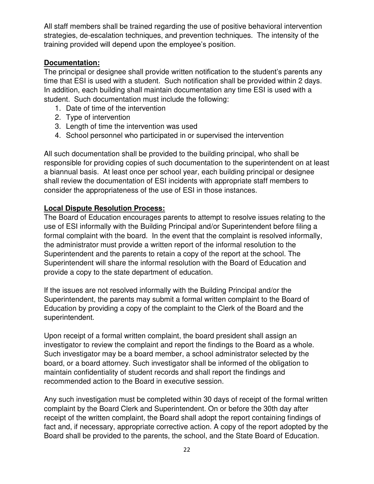All staff members shall be trained regarding the use of positive behavioral intervention strategies, de-escalation techniques, and prevention techniques. The intensity of the training provided will depend upon the employee's position.

#### **Documentation:**

The principal or designee shall provide written notification to the student's parents any time that ESI is used with a student. Such notification shall be provided within 2 days. In addition, each building shall maintain documentation any time ESI is used with a student. Such documentation must include the following:

- 1. Date of time of the intervention
- 2. Type of intervention
- 3. Length of time the intervention was used
- 4. School personnel who participated in or supervised the intervention

All such documentation shall be provided to the building principal, who shall be responsible for providing copies of such documentation to the superintendent on at least a biannual basis. At least once per school year, each building principal or designee shall review the documentation of ESI incidents with appropriate staff members to consider the appropriateness of the use of ESI in those instances.

#### **Local Dispute Resolution Process:**

The Board of Education encourages parents to attempt to resolve issues relating to the use of ESI informally with the Building Principal and/or Superintendent before filing a formal complaint with the board. In the event that the complaint is resolved informally, the administrator must provide a written report of the informal resolution to the Superintendent and the parents to retain a copy of the report at the school. The Superintendent will share the informal resolution with the Board of Education and provide a copy to the state department of education.

If the issues are not resolved informally with the Building Principal and/or the Superintendent, the parents may submit a formal written complaint to the Board of Education by providing a copy of the complaint to the Clerk of the Board and the superintendent.

Upon receipt of a formal written complaint, the board president shall assign an investigator to review the complaint and report the findings to the Board as a whole. Such investigator may be a board member, a school administrator selected by the board, or a board attorney. Such investigator shall be informed of the obligation to maintain confidentiality of student records and shall report the findings and recommended action to the Board in executive session.

Any such investigation must be completed within 30 days of receipt of the formal written complaint by the Board Clerk and Superintendent. On or before the 30th day after receipt of the written complaint, the Board shall adopt the report containing findings of fact and, if necessary, appropriate corrective action. A copy of the report adopted by the Board shall be provided to the parents, the school, and the State Board of Education.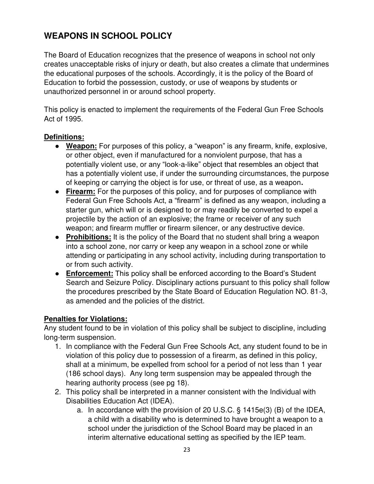# **WEAPONS IN SCHOOL POLICY**

The Board of Education recognizes that the presence of weapons in school not only creates unacceptable risks of injury or death, but also creates a climate that undermines the educational purposes of the schools. Accordingly, it is the policy of the Board of Education to forbid the possession, custody, or use of weapons by students or unauthorized personnel in or around school property.

This policy is enacted to implement the requirements of the Federal Gun Free Schools Act of 1995.

#### **Definitions:**

- **Weapon:** For purposes of this policy, a "weapon" is any firearm, knife, explosive, or other object, even if manufactured for a nonviolent purpose, that has a potentially violent use, or any "look-a-like" object that resembles an object that has a potentially violent use, if under the surrounding circumstances, the purpose of keeping or carrying the object is for use, or threat of use, as a weapon**.**
- **Firearm:** For the purposes of this policy, and for purposes of compliance with Federal Gun Free Schools Act, a "firearm" is defined as any weapon, including a starter gun, which will or is designed to or may readily be converted to expel a projectile by the action of an explosive; the frame or receiver of any such weapon; and firearm muffler or firearm silencer, or any destructive device.
- **Prohibitions:** It is the policy of the Board that no student shall bring a weapon into a school zone, nor carry or keep any weapon in a school zone or while attending or participating in any school activity, including during transportation to or from such activity.
- **Enforcement:** This policy shall be enforced according to the Board's Student Search and Seizure Policy. Disciplinary actions pursuant to this policy shall follow the procedures prescribed by the State Board of Education Regulation NO. 81-3, as amended and the policies of the district.

#### **Penalties for Violations:**

Any student found to be in violation of this policy shall be subject to discipline, including long-term suspension.

- 1. In compliance with the Federal Gun Free Schools Act, any student found to be in violation of this policy due to possession of a firearm, as defined in this policy, shall at a minimum, be expelled from school for a period of not less than 1 year (186 school days). Any long term suspension may be appealed through the hearing authority process (see pg 18).
- 2. This policy shall be interpreted in a manner consistent with the Individual with Disabilities Education Act (IDEA).
	- a. In accordance with the provision of 20 U.S.C. § 1415e(3) (B) of the IDEA, a child with a disability who is determined to have brought a weapon to a school under the jurisdiction of the School Board may be placed in an interim alternative educational setting as specified by the IEP team.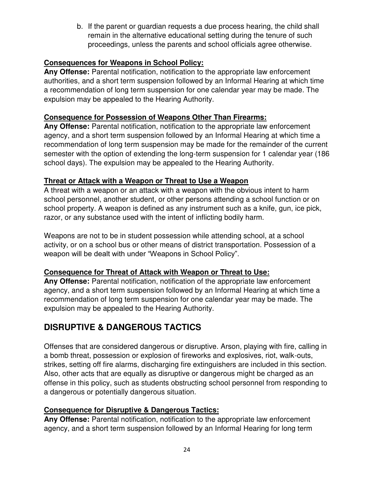b. If the parent or guardian requests a due process hearing, the child shall remain in the alternative educational setting during the tenure of such proceedings, unless the parents and school officials agree otherwise.

#### **Consequences for Weapons in School Policy:**

**Any Offense:** Parental notification, notification to the appropriate law enforcement authorities, and a short term suspension followed by an Informal Hearing at which time a recommendation of long term suspension for one calendar year may be made. The expulsion may be appealed to the Hearing Authority.

#### **Consequence for Possession of Weapons Other Than Firearms:**

**Any Offense:** Parental notification, notification to the appropriate law enforcement agency, and a short term suspension followed by an Informal Hearing at which time a recommendation of long term suspension may be made for the remainder of the current semester with the option of extending the long-term suspension for 1 calendar year (186 school days). The expulsion may be appealed to the Hearing Authority.

#### **Threat or Attack with a Weapon or Threat to Use a Weapon**

A threat with a weapon or an attack with a weapon with the obvious intent to harm school personnel, another student, or other persons attending a school function or on school property. A weapon is defined as any instrument such as a knife, gun, ice pick, razor, or any substance used with the intent of inflicting bodily harm.

Weapons are not to be in student possession while attending school, at a school activity, or on a school bus or other means of district transportation. Possession of a weapon will be dealt with under "Weapons in School Policy".

#### **Consequence for Threat of Attack with Weapon or Threat to Use:**

**Any Offense:** Parental notification, notification of the appropriate law enforcement agency, and a short term suspension followed by an Informal Hearing at which time a recommendation of long term suspension for one calendar year may be made. The expulsion may be appealed to the Hearing Authority.

# **DISRUPTIVE & DANGEROUS TACTICS**

Offenses that are considered dangerous or disruptive. Arson, playing with fire, calling in a bomb threat, possession or explosion of fireworks and explosives, riot, walk-outs, strikes, setting off fire alarms, discharging fire extinguishers are included in this section. Also, other acts that are equally as disruptive or dangerous might be charged as an offense in this policy, such as students obstructing school personnel from responding to a dangerous or potentially dangerous situation.

#### **Consequence for Disruptive & Dangerous Tactics:**

**Any Offense:** Parental notification, notification to the appropriate law enforcement agency, and a short term suspension followed by an Informal Hearing for long term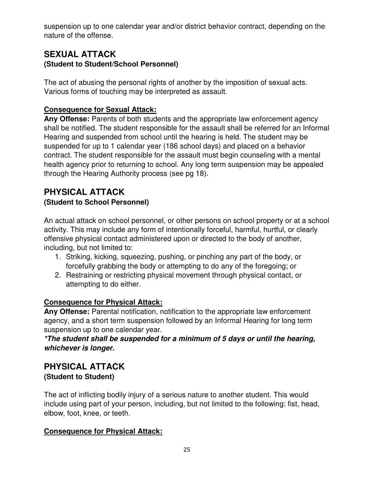suspension up to one calendar year and/or district behavior contract, depending on the nature of the offense.

#### **SEXUAL ATTACK (Student to Student/School Personnel)**

The act of abusing the personal rights of another by the imposition of sexual acts. Various forms of touching may be interpreted as assault.

#### **Consequence for Sexual Attack:**

**Any Offense:** Parents of both students and the appropriate law enforcement agency shall be notified. The student responsible for the assault shall be referred for an Informal Hearing and suspended from school until the hearing is held. The student may be suspended for up to 1 calendar year (186 school days) and placed on a behavior contract. The student responsible for the assault must begin counseling with a mental health agency prior to returning to school. Any long term suspension may be appealed through the Hearing Authority process (see pg 18).

#### **PHYSICAL ATTACK (Student to School Personnel)**

An actual attack on school personnel, or other persons on school property or at a school activity. This may include any form of intentionally forceful, harmful, hurtful, or clearly offensive physical contact administered upon or directed to the body of another, including, but not limited to:

- 1. Striking, kicking, squeezing, pushing, or pinching any part of the body, or forcefully grabbing the body or attempting to do any of the foregoing; or
- 2. Restraining or restricting physical movement through physical contact, or attempting to do either.

#### **Consequence for Physical Attack:**

**Any Offense:** Parental notification, notification to the appropriate law enforcement agency, and a short term suspension followed by an Informal Hearing for long term suspension up to one calendar year.

*\*The student shall be suspended for a minimum of 5 days or until the hearing, whichever is longer.*

### **PHYSICAL ATTACK (Student to Student)**

The act of inflicting bodily injury of a serious nature to another student. This would include using part of your person, including, but not limited to the following: fist, head, elbow, foot, knee, or teeth.

#### **Consequence for Physical Attack:**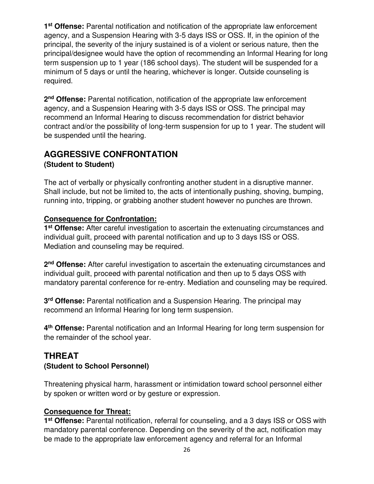1<sup>st</sup> Offense: Parental notification and notification of the appropriate law enforcement agency, and a Suspension Hearing with 3-5 days ISS or OSS. If, in the opinion of the principal, the severity of the injury sustained is of a violent or serious nature, then the principal/designee would have the option of recommending an Informal Hearing for long term suspension up to 1 year (186 school days). The student will be suspended for a minimum of 5 days or until the hearing, whichever is longer. Outside counseling is required.

2<sup>nd</sup> Offense: Parental notification, notification of the appropriate law enforcement agency, and a Suspension Hearing with 3-5 days ISS or OSS. The principal may recommend an Informal Hearing to discuss recommendation for district behavior contract and/or the possibility of long-term suspension for up to 1 year. The student will be suspended until the hearing.

### **AGGRESSIVE CONFRONTATION (Student to Student)**

The act of verbally or physically confronting another student in a disruptive manner. Shall include, but not be limited to, the acts of intentionally pushing, shoving, bumping, running into, tripping, or grabbing another student however no punches are thrown.

#### **Consequence for Confrontation:**

**1 st Offense:** After careful investigation to ascertain the extenuating circumstances and individual guilt, proceed with parental notification and up to 3 days ISS or OSS. Mediation and counseling may be required.

**2 nd Offense:** After careful investigation to ascertain the extenuating circumstances and individual guilt, proceed with parental notification and then up to 5 days OSS with mandatory parental conference for re-entry. Mediation and counseling may be required.

**3 rd Offense:** Parental notification and a Suspension Hearing. The principal may recommend an Informal Hearing for long term suspension.

**4 th Offense:** Parental notification and an Informal Hearing for long term suspension for the remainder of the school year.

### **THREAT (Student to School Personnel)**

Threatening physical harm, harassment or intimidation toward school personnel either by spoken or written word or by gesture or expression.

#### **Consequence for Threat:**

**1 st Offense:** Parental notification, referral for counseling, and a 3 days ISS or OSS with mandatory parental conference. Depending on the severity of the act, notification may be made to the appropriate law enforcement agency and referral for an Informal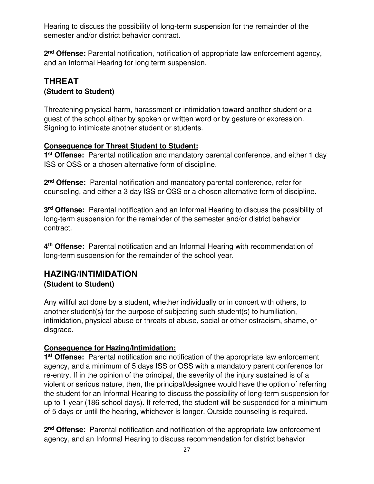Hearing to discuss the possibility of long-term suspension for the remainder of the semester and/or district behavior contract.

**2 nd Offense:** Parental notification, notification of appropriate law enforcement agency, and an Informal Hearing for long term suspension.

### **THREAT (Student to Student)**

Threatening physical harm, harassment or intimidation toward another student or a guest of the school either by spoken or written word or by gesture or expression. Signing to intimidate another student or students.

#### **Consequence for Threat Student to Student:**

**1 st Offense:** Parental notification and mandatory parental conference, and either 1 day ISS or OSS or a chosen alternative form of discipline.

**2 nd Offense:** Parental notification and mandatory parental conference, refer for counseling, and either a 3 day ISS or OSS or a chosen alternative form of discipline.

**3 rd Offense:** Parental notification and an Informal Hearing to discuss the possibility of long-term suspension for the remainder of the semester and/or district behavior contract.

**4 th Offense:** Parental notification and an Informal Hearing with recommendation of long-term suspension for the remainder of the school year.

#### **HAZING/INTIMIDATION (Student to Student)**

Any willful act done by a student, whether individually or in concert with others, to another student(s) for the purpose of subjecting such student(s) to humiliation, intimidation, physical abuse or threats of abuse, social or other ostracism, shame, or disgrace.

#### **Consequence for Hazing/Intimidation:**

**1 st Offense:** Parental notification and notification of the appropriate law enforcement agency, and a minimum of 5 days ISS or OSS with a mandatory parent conference for re-entry. If in the opinion of the principal, the severity of the injury sustained is of a violent or serious nature, then, the principal/designee would have the option of referring the student for an Informal Hearing to discuss the possibility of long-term suspension for up to 1 year (186 school days). If referred, the student will be suspended for a minimum of 5 days or until the hearing, whichever is longer. Outside counseling is required.

2<sup>nd</sup> Offense: Parental notification and notification of the appropriate law enforcement agency, and an Informal Hearing to discuss recommendation for district behavior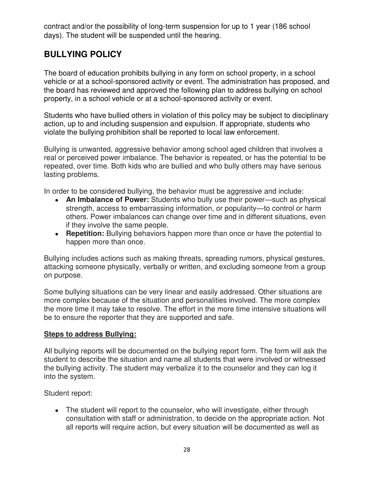contract and/or the possibility of long-term suspension for up to 1 year (186 school days). The student will be suspended until the hearing.

# **BULLYING POLICY**

The board of education prohibits bullying in any form on school property, in a school vehicle or at a school-sponsored activity or event. The administration has proposed, and the board has reviewed and approved the following plan to address bullying on school property, in a school vehicle or at a school-sponsored activity or event.

Students who have bullied others in violation of this policy may be subject to disciplinary action, up to and including suspension and expulsion. If appropriate, students who violate the bullying prohibition shall be reported to local law enforcement.

Bullying is unwanted, aggressive behavior among school aged children that involves a real or perceived power imbalance. The behavior is repeated, or has the potential to be repeated, over time. Both kids who are bullied and who bully others may have serious lasting problems.

In order to be considered bullying, the behavior must be aggressive and include:

- An Imbalance of Power: Students who bully use their power—such as physical strength, access to embarrassing information, or popularity—to control or harm others. Power imbalances can change over time and in different situations, even if they involve the same people.
- **Repetition:** Bullying behaviors happen more than once or have the potential to happen more than once.

Bullying includes actions such as making threats, spreading rumors, physical gestures, attacking someone physically, verbally or written, and excluding someone from a group on purpose.

Some bullying situations can be very linear and easily addressed. Other situations are more complex because of the situation and personalities involved. The more complex the more time it may take to resolve. The effort in the more time intensive situations will be to ensure the reporter that they are supported and safe.

#### **Steps to address Bullying:**

All bullying reports will be documented on the bullying report form. The form will ask the student to describe the situation and name all students that were involved or witnessed the bullying activity. The student may verbalize it to the counselor and they can log it into the system.

Student report:

• The student will report to the counselor, who will investigate, either through consultation with staff or administration, to decide on the appropriate action. Not all reports will require action, but every situation will be documented as well as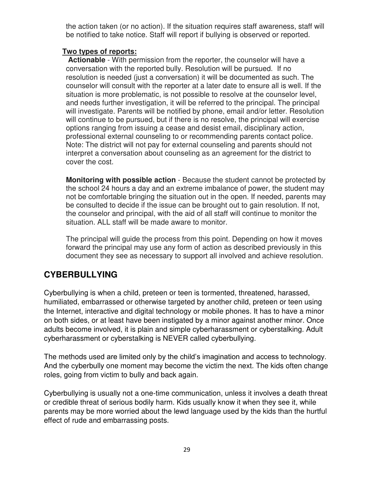the action taken (or no action). If the situation requires staff awareness, staff will be notified to take notice. Staff will report if bullying is observed or reported.

#### **Two types of reports:**

**Actionable** - With permission from the reporter, the counselor will have a conversation with the reported bully. Resolution will be pursued. If no resolution is needed (just a conversation) it will be documented as such. The counselor will consult with the reporter at a later date to ensure all is well. If the situation is more problematic, is not possible to resolve at the counselor level, and needs further investigation, it will be referred to the principal. The principal will investigate. Parents will be notified by phone, email and/or letter. Resolution will continue to be pursued, but if there is no resolve, the principal will exercise options ranging from issuing a cease and desist email, disciplinary action, professional external counseling to or recommending parents contact police. Note: The district will not pay for external counseling and parents should not interpret a conversation about counseling as an agreement for the district to cover the cost.

**Monitoring with possible action** - Because the student cannot be protected by the school 24 hours a day and an extreme imbalance of power, the student may not be comfortable bringing the situation out in the open. If needed, parents may be consulted to decide if the issue can be brought out to gain resolution. If not, the counselor and principal, with the aid of all staff will continue to monitor the situation. ALL staff will be made aware to monitor.

The principal will guide the process from this point. Depending on how it moves forward the principal may use any form of action as described previously in this document they see as necessary to support all involved and achieve resolution.

### **CYBERBULLYING**

Cyberbullying is when a child, preteen or teen is tormented, threatened, harassed, humiliated, embarrassed or otherwise targeted by another child, preteen or teen using the Internet, interactive and digital technology or mobile phones. It has to have a minor on both sides, or at least have been instigated by a minor against another minor. Once adults become involved, it is plain and simple cyberharassment or cyberstalking. Adult cyberharassment or cyberstalking is NEVER called cyberbullying.

The methods used are limited only by the child's imagination and access to technology. And the cyberbully one moment may become the victim the next. The kids often change roles, going from victim to bully and back again.

Cyberbullying is usually not a one-time communication, unless it involves a death threat or credible threat of serious bodily harm. Kids usually know it when they see it, while parents may be more worried about the lewd language used by the kids than the hurtful effect of rude and embarrassing posts.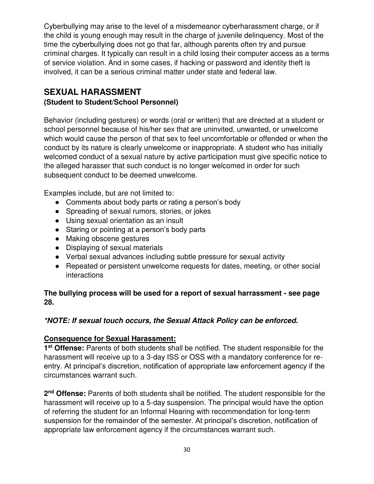Cyberbullying may arise to the level of a misdemeanor cyberharassment charge, or if the child is young enough may result in the charge of juvenile delinquency. Most of the time the cyberbullying does not go that far, although parents often try and pursue criminal charges. It typically can result in a child losing their computer access as a terms of service violation. And in some cases, if hacking or password and identity theft is involved, it can be a serious criminal matter under state and federal law.

### **SEXUAL HARASSMENT**

#### **(Student to Student/School Personnel)**

Behavior (including gestures) or words (oral or written) that are directed at a student or school personnel because of his/her sex that are uninvited, unwanted, or unwelcome which would cause the person of that sex to feel uncomfortable or offended or when the conduct by its nature is clearly unwelcome or inappropriate. A student who has initially welcomed conduct of a sexual nature by active participation must give specific notice to the alleged harasser that such conduct is no longer welcomed in order for such subsequent conduct to be deemed unwelcome.

Examples include, but are not limited to:

- Comments about body parts or rating a person's body
- Spreading of sexual rumors, stories, or jokes
- Using sexual orientation as an insult
- Staring or pointing at a person's body parts
- Making obscene gestures
- Displaying of sexual materials
- Verbal sexual advances including subtle pressure for sexual activity
- Repeated or persistent unwelcome requests for dates, meeting, or other social interactions

#### **The bullying process will be used for a report of sexual harrassment - see page 28.**

#### *\*NOTE: If sexual touch occurs, the Sexual Attack Policy can be enforced.*

#### **Consequence for Sexual Harassment:**

1<sup>st</sup> Offense: Parents of both students shall be notified. The student responsible for the harassment will receive up to a 3-day ISS or OSS with a mandatory conference for reentry. At principal's discretion, notification of appropriate law enforcement agency if the circumstances warrant such.

**2 nd Offense:** Parents of both students shall be notified. The student responsible for the harassment will receive up to a 5-day suspension. The principal would have the option of referring the student for an Informal Hearing with recommendation for long-term suspension for the remainder of the semester. At principal's discretion, notification of appropriate law enforcement agency if the circumstances warrant such.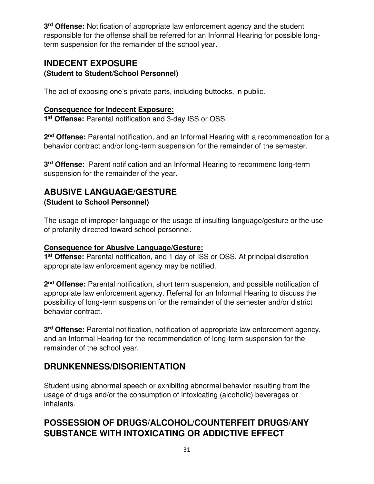**3 rd Offense:** Notification of appropriate law enforcement agency and the student responsible for the offense shall be referred for an Informal Hearing for possible longterm suspension for the remainder of the school year.

#### **INDECENT EXPOSURE (Student to Student/School Personnel)**

The act of exposing one's private parts, including buttocks, in public.

#### **Consequence for Indecent Exposure:**

**1 st Offense:** Parental notification and 3-day ISS or OSS.

**2 nd Offense:** Parental notification, and an Informal Hearing with a recommendation for a behavior contract and/or long-term suspension for the remainder of the semester.

**3 rd Offense:** Parent notification and an Informal Hearing to recommend long-term suspension for the remainder of the year.

# **ABUSIVE LANGUAGE/GESTURE**

#### **(Student to School Personnel)**

The usage of improper language or the usage of insulting language/gesture or the use of profanity directed toward school personnel.

#### **Consequence for Abusive Language/Gesture:**

**1 st Offense:** Parental notification, and 1 day of ISS or OSS. At principal discretion appropriate law enforcement agency may be notified.

2<sup>nd</sup> Offense: Parental notification, short term suspension, and possible notification of appropriate law enforcement agency. Referral for an Informal Hearing to discuss the possibility of long-term suspension for the remainder of the semester and/or district behavior contract.

**3 rd Offense:** Parental notification, notification of appropriate law enforcement agency, and an Informal Hearing for the recommendation of long-term suspension for the remainder of the school year.

### **DRUNKENNESS/DISORIENTATION**

Student using abnormal speech or exhibiting abnormal behavior resulting from the usage of drugs and/or the consumption of intoxicating (alcoholic) beverages or inhalants.

### **POSSESSION OF DRUGS/ALCOHOL/COUNTERFEIT DRUGS/ANY SUBSTANCE WITH INTOXICATING OR ADDICTIVE EFFECT**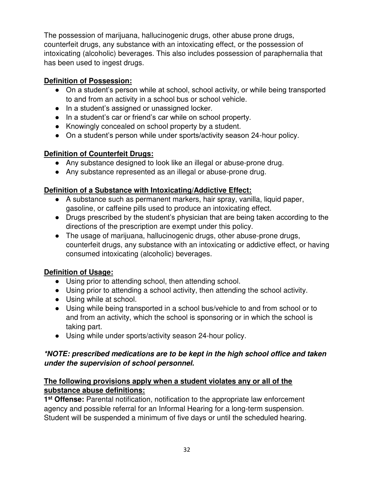The possession of marijuana, hallucinogenic drugs, other abuse prone drugs, counterfeit drugs, any substance with an intoxicating effect, or the possession of intoxicating (alcoholic) beverages. This also includes possession of paraphernalia that has been used to ingest drugs.

#### **Definition of Possession:**

- On a student's person while at school, school activity, or while being transported to and from an activity in a school bus or school vehicle.
- In a student's assigned or unassigned locker.
- In a student's car or friend's car while on school property.
- Knowingly concealed on school property by a student.
- On a student's person while under sports/activity season 24-hour policy.

#### **Definition of Counterfeit Drugs:**

- Any substance designed to look like an illegal or abuse-prone drug.
- Any substance represented as an illegal or abuse-prone drug.

#### **Definition of a Substance with Intoxicating/Addictive Effect:**

- A substance such as permanent markers, hair spray, vanilla, liquid paper, gasoline, or caffeine pills used to produce an intoxicating effect.
- Drugs prescribed by the student's physician that are being taken according to the directions of the prescription are exempt under this policy.
- The usage of marijuana, hallucinogenic drugs, other abuse-prone drugs, counterfeit drugs, any substance with an intoxicating or addictive effect, or having consumed intoxicating (alcoholic) beverages.

#### **Definition of Usage:**

- Using prior to attending school, then attending school.
- Using prior to attending a school activity, then attending the school activity.
- Using while at school.
- Using while being transported in a school bus/vehicle to and from school or to and from an activity, which the school is sponsoring or in which the school is taking part.
- Using while under sports/activity season 24-hour policy.

#### *\*NOTE: prescribed medications are to be kept in the high school office and taken under the supervision of school personnel.*

#### **The following provisions apply when a student violates any or all of the substance abuse definitions:**

1<sup>st</sup> Offense: Parental notification, notification to the appropriate law enforcement agency and possible referral for an Informal Hearing for a long-term suspension. Student will be suspended a minimum of five days or until the scheduled hearing.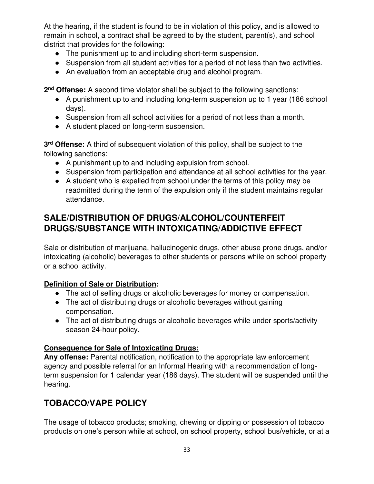At the hearing, if the student is found to be in violation of this policy, and is allowed to remain in school, a contract shall be agreed to by the student, parent(s), and school district that provides for the following:

- The punishment up to and including short-term suspension.
- Suspension from all student activities for a period of not less than two activities.
- An evaluation from an acceptable drug and alcohol program.

2<sup>nd</sup> Offense: A second time violator shall be subject to the following sanctions:

- A punishment up to and including long-term suspension up to 1 year (186 school days).
- Suspension from all school activities for a period of not less than a month.
- A student placed on long-term suspension.

**3 rd Offense:** A third of subsequent violation of this policy, shall be subject to the following sanctions:

- A punishment up to and including expulsion from school.
- Suspension from participation and attendance at all school activities for the year.
- A student who is expelled from school under the terms of this policy may be readmitted during the term of the expulsion only if the student maintains regular attendance.

### **SALE/DISTRIBUTION OF DRUGS/ALCOHOL/COUNTERFEIT DRUGS/SUBSTANCE WITH INTOXICATING/ADDICTIVE EFFECT**

Sale or distribution of marijuana, hallucinogenic drugs, other abuse prone drugs, and/or intoxicating (alcoholic) beverages to other students or persons while on school property or a school activity.

#### **Definition of Sale or Distribution:**

- The act of selling drugs or alcoholic beverages for money or compensation.
- The act of distributing drugs or alcoholic beverages without gaining compensation.
- The act of distributing drugs or alcoholic beverages while under sports/activity season 24-hour policy.

#### **Consequence for Sale of Intoxicating Drugs:**

**Any offense:** Parental notification, notification to the appropriate law enforcement agency and possible referral for an Informal Hearing with a recommendation of longterm suspension for 1 calendar year (186 days). The student will be suspended until the hearing.

# **TOBACCO/VAPE POLICY**

The usage of tobacco products; smoking, chewing or dipping or possession of tobacco products on one's person while at school, on school property, school bus/vehicle, or at a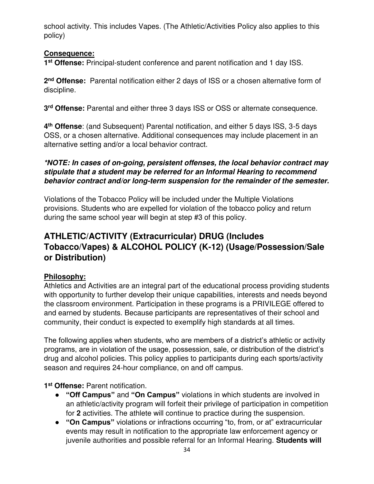school activity. This includes Vapes. (The Athletic/Activities Policy also applies to this policy)

#### **Consequence:**

**1 st Offense:** Principal-student conference and parent notification and 1 day ISS.

**2 nd Offense:** Parental notification either 2 days of ISS or a chosen alternative form of discipline.

**3 rd Offense:** Parental and either three 3 days ISS or OSS or alternate consequence.

**4 th Offense**: (and Subsequent) Parental notification, and either 5 days ISS, 3-5 days OSS, or a chosen alternative. Additional consequences may include placement in an alternative setting and/or a local behavior contract.

#### *\*NOTE: In cases of on-going, persistent offenses, the local behavior contract may stipulate that a student may be referred for an Informal Hearing to recommend behavior contract and/or long-term suspension for the remainder of the semester.*

Violations of the Tobacco Policy will be included under the Multiple Violations provisions. Students who are expelled for violation of the tobacco policy and return during the same school year will begin at step #3 of this policy.

# **ATHLETIC/ACTIVITY (Extracurricular) DRUG (Includes Tobacco/Vapes) & ALCOHOL POLICY (K-12) (Usage/Possession/Sale or Distribution)**

#### **Philosophy:**

Athletics and Activities are an integral part of the educational process providing students with opportunity to further develop their unique capabilities, interests and needs beyond the classroom environment. Participation in these programs is a PRIVILEGE offered to and earned by students. Because participants are representatives of their school and community, their conduct is expected to exemplify high standards at all times.

The following applies when students, who are members of a district's athletic or activity programs, are in violation of the usage, possession, sale, or distribution of the district's drug and alcohol policies. This policy applies to participants during each sports/activity season and requires 24-hour compliance, on and off campus.

**1 st Offense:** Parent notification.

- **"Off Campus"** and **"On Campus"** violations in which students are involved in an athletic/activity program will forfeit their privilege of participation in competition for **2** activities. The athlete will continue to practice during the suspension.
- **"On Campus"** violations or infractions occurring "to, from, or at" extracurricular events may result in notification to the appropriate law enforcement agency or juvenile authorities and possible referral for an Informal Hearing. **Students will**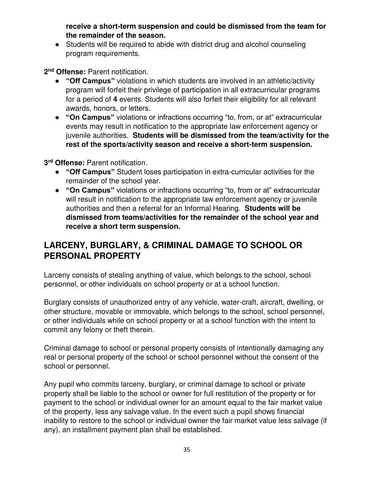**receive a short-term suspension and could be dismissed from the team for the remainder of the season.**

• Students will be required to abide with district drug and alcohol counseling program requirements.

**2 nd Offense:** Parent notification.

- **"Off Campus"** violations in which students are involved in an athletic/activity program will forfeit their privilege of participation in all extracurricular programs for a period of **4** events. Students will also forfeit their eligibility for all relevant awards, honors, or letters.
- **"On Campus"** violations or infractions occurring "to, from, or at" extracurricular events may result in notification to the appropriate law enforcement agency or juvenile authorities. **Students will be dismissed from the team/activity for the rest of the sports/activity season and receive a short-term suspension.**

**3 rd Offense:** Parent notification.

- **"Off Campus"** Student loses participation in extra-curricular activities for the remainder of the school year.
- **"On Campus"** violations or infractions occurring "to, from or at" extracurricular will result in notification to the appropriate law enforcement agency or juvenile authorities and then a referral for an Informal Hearing. **Students will be dismissed from teams/activities for the remainder of the school year and receive a short term suspension.**

# **LARCENY, BURGLARY, & CRIMINAL DAMAGE TO SCHOOL OR PERSONAL PROPERTY**

Larceny consists of stealing anything of value, which belongs to the school, school personnel, or other individuals on school property or at a school function.

Burglary consists of unauthorized entry of any vehicle, water-craft, aircraft, dwelling, or other structure, movable or immovable, which belongs to the school, school personnel, or other individuals while on school property or at a school function with the intent to commit any felony or theft therein.

Criminal damage to school or personal property consists of intentionally damaging any real or personal property of the school or school personnel without the consent of the school or personnel.

Any pupil who commits larceny, burglary, or criminal damage to school or private property shall be liable to the school or owner for full restitution of the property or for payment to the school or individual owner for an amount equal to the fair market value of the property, less any salvage value. In the event such a pupil shows financial inability to restore to the school or individual owner the fair market value less salvage (if any), an installment payment plan shall be established.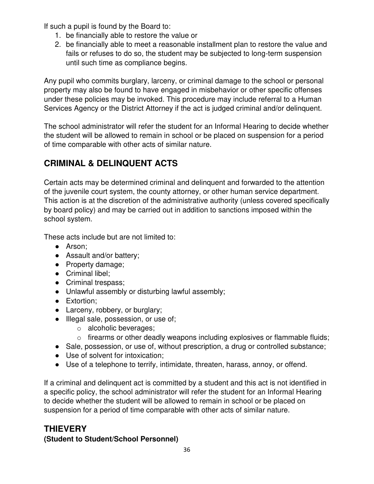If such a pupil is found by the Board to:

- 1. be financially able to restore the value or
- 2. be financially able to meet a reasonable installment plan to restore the value and fails or refuses to do so, the student may be subjected to long-term suspension until such time as compliance begins.

Any pupil who commits burglary, larceny, or criminal damage to the school or personal property may also be found to have engaged in misbehavior or other specific offenses under these policies may be invoked. This procedure may include referral to a Human Services Agency or the District Attorney if the act is judged criminal and/or delinquent.

The school administrator will refer the student for an Informal Hearing to decide whether the student will be allowed to remain in school or be placed on suspension for a period of time comparable with other acts of similar nature.

# **CRIMINAL & DELINQUENT ACTS**

Certain acts may be determined criminal and delinquent and forwarded to the attention of the juvenile court system, the county attorney, or other human service department. This action is at the discretion of the administrative authority (unless covered specifically by board policy) and may be carried out in addition to sanctions imposed within the school system.

These acts include but are not limited to:

- Arson;
- Assault and/or battery;
- Property damage;
- Criminal libel;
- Criminal trespass;
- Unlawful assembly or disturbing lawful assembly;
- Extortion:
- Larceny, robbery, or burglary;
- Illegal sale, possession, or use of;
	- o alcoholic beverages;
	- o firearms or other deadly weapons including explosives or flammable fluids;
- Sale, possession, or use of, without prescription, a drug or controlled substance;
- Use of solvent for intoxication;
- Use of a telephone to terrify, intimidate, threaten, harass, annoy, or offend.

If a criminal and delinquent act is committed by a student and this act is not identified in a specific policy, the school administrator will refer the student for an Informal Hearing to decide whether the student will be allowed to remain in school or be placed on suspension for a period of time comparable with other acts of similar nature.

### **THIEVERY**

#### **(Student to Student/School Personnel)**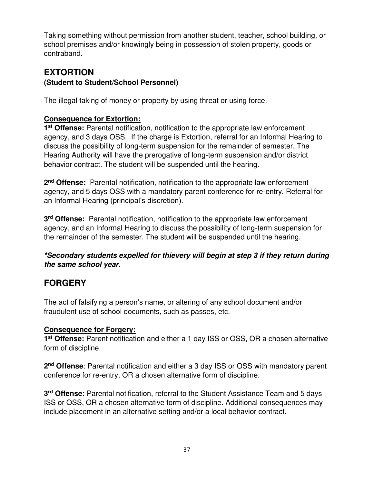Taking something without permission from another student, teacher, school building, or school premises and/or knowingly being in possession of stolen property, goods or contraband.

#### **EXTORTION (Student to Student/School Personnel)**

The illegal taking of money or property by using threat or using force.

#### **Consequence for Extortion:**

**1 st Offense:** Parental notification, notification to the appropriate law enforcement agency, and 3 days OSS. If the charge is Extortion, referral for an Informal Hearing to discuss the possibility of long-term suspension for the remainder of semester. The Hearing Authority will have the prerogative of long-term suspension and/or district behavior contract. The student will be suspended until the hearing.

**2 nd Offense:** Parental notification, notification to the appropriate law enforcement agency, and 5 days OSS with a mandatory parent conference for re-entry. Referral for an Informal Hearing (principal's discretion).

**3 rd Offense:** Parental notification, notification to the appropriate law enforcement agency, and an Informal Hearing to discuss the possibility of long-term suspension for the remainder of the semester. The student will be suspended until the hearing.

*\*Secondary students expelled for thievery will begin at step 3 if they return during the same school year.*

# **FORGERY**

The act of falsifying a person's name, or altering of any school document and/or fraudulent use of school documents, such as passes, etc.

#### **Consequence for Forgery:**

**1 st Offense:** Parent notification and either a 1 day ISS or OSS, OR a chosen alternative form of discipline.

**2 nd Offense**: Parental notification and either a 3 day ISS or OSS with mandatory parent conference for re-entry, OR a chosen alternative form of discipline.

**3 rd Offense:** Parental notification, referral to the Student Assistance Team and 5 days ISS or OSS, OR a chosen alternative form of discipline. Additional consequences may include placement in an alternative setting and/or a local behavior contract.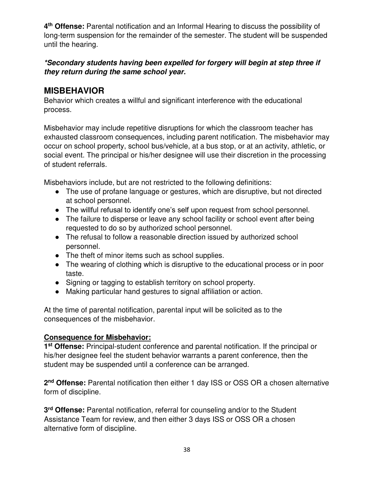**4 th Offense:** Parental notification and an Informal Hearing to discuss the possibility of long-term suspension for the remainder of the semester. The student will be suspended until the hearing.

#### *\*Secondary students having been expelled for forgery will begin at step three if they return during the same school year.*

#### **MISBEHAVIOR**

Behavior which creates a willful and significant interference with the educational process.

Misbehavior may include repetitive disruptions for which the classroom teacher has exhausted classroom consequences, including parent notification. The misbehavior may occur on school property, school bus/vehicle, at a bus stop, or at an activity, athletic, or social event. The principal or his/her designee will use their discretion in the processing of student referrals.

Misbehaviors include, but are not restricted to the following definitions:

- The use of profane language or gestures, which are disruptive, but not directed at school personnel.
- The willful refusal to identify one's self upon request from school personnel.
- The failure to disperse or leave any school facility or school event after being requested to do so by authorized school personnel.
- The refusal to follow a reasonable direction issued by authorized school personnel.
- The theft of minor items such as school supplies.
- The wearing of clothing which is disruptive to the educational process or in poor taste.
- Signing or tagging to establish territory on school property.
- Making particular hand gestures to signal affiliation or action.

At the time of parental notification, parental input will be solicited as to the consequences of the misbehavior.

#### **Consequence for Misbehavior:**

**1 st Offense:** Principal-student conference and parental notification. If the principal or his/her designee feel the student behavior warrants a parent conference, then the student may be suspended until a conference can be arranged.

**2 nd Offense:** Parental notification then either 1 day ISS or OSS OR a chosen alternative form of discipline.

**3 rd Offense:** Parental notification, referral for counseling and/or to the Student Assistance Team for review, and then either 3 days ISS or OSS OR a chosen alternative form of discipline.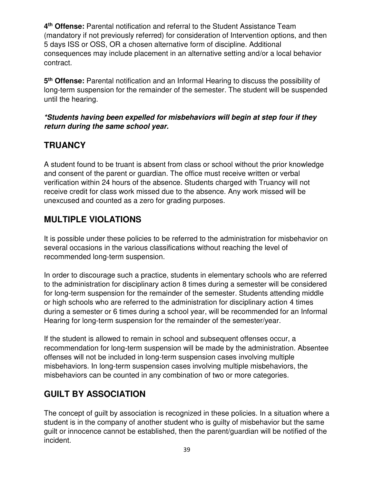**4 th Offense:** Parental notification and referral to the Student Assistance Team (mandatory if not previously referred) for consideration of Intervention options, and then 5 days ISS or OSS, OR a chosen alternative form of discipline. Additional consequences may include placement in an alternative setting and/or a local behavior contract.

**5 th Offense:** Parental notification and an Informal Hearing to discuss the possibility of long-term suspension for the remainder of the semester. The student will be suspended until the hearing.

#### *\*Students having been expelled for misbehaviors will begin at step four if they return during the same school year.*

# **TRUANCY**

A student found to be truant is absent from class or school without the prior knowledge and consent of the parent or guardian. The office must receive written or verbal verification within 24 hours of the absence. Students charged with Truancy will not receive credit for class work missed due to the absence. Any work missed will be unexcused and counted as a zero for grading purposes.

# **MULTIPLE VIOLATIONS**

It is possible under these policies to be referred to the administration for misbehavior on several occasions in the various classifications without reaching the level of recommended long-term suspension.

In order to discourage such a practice, students in elementary schools who are referred to the administration for disciplinary action 8 times during a semester will be considered for long-term suspension for the remainder of the semester. Students attending middle or high schools who are referred to the administration for disciplinary action 4 times during a semester or 6 times during a school year, will be recommended for an Informal Hearing for long-term suspension for the remainder of the semester/year.

If the student is allowed to remain in school and subsequent offenses occur, a recommendation for long-term suspension will be made by the administration. Absentee offenses will not be included in long-term suspension cases involving multiple misbehaviors. In long-term suspension cases involving multiple misbehaviors, the misbehaviors can be counted in any combination of two or more categories.

# **GUILT BY ASSOCIATION**

The concept of guilt by association is recognized in these policies. In a situation where a student is in the company of another student who is guilty of misbehavior but the same guilt or innocence cannot be established, then the parent/guardian will be notified of the incident.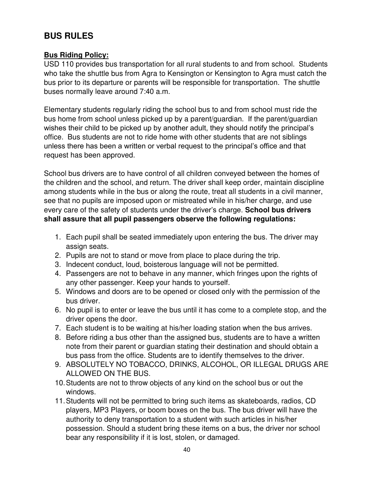# **BUS RULES**

#### **Bus Riding Policy:**

USD 110 provides bus transportation for all rural students to and from school. Students who take the shuttle bus from Agra to Kensington or Kensington to Agra must catch the bus prior to its departure or parents will be responsible for transportation. The shuttle buses normally leave around 7:40 a.m.

Elementary students regularly riding the school bus to and from school must ride the bus home from school unless picked up by a parent/guardian. If the parent/guardian wishes their child to be picked up by another adult, they should notify the principal's office. Bus students are not to ride home with other students that are not siblings unless there has been a written or verbal request to the principal's office and that request has been approved.

School bus drivers are to have control of all children conveyed between the homes of the children and the school, and return. The driver shall keep order, maintain discipline among students while in the bus or along the route, treat all students in a civil manner, see that no pupils are imposed upon or mistreated while in his/her charge, and use every care of the safety of students under the driver's charge. **School bus drivers shall assure that all pupil passengers observe the following regulations:**

- 1. Each pupil shall be seated immediately upon entering the bus. The driver may assign seats.
- 2. Pupils are not to stand or move from place to place during the trip.
- 3. Indecent conduct, loud, boisterous language will not be permitted.
- 4. Passengers are not to behave in any manner, which fringes upon the rights of any other passenger. Keep your hands to yourself.
- 5. Windows and doors are to be opened or closed only with the permission of the bus driver.
- 6. No pupil is to enter or leave the bus until it has come to a complete stop, and the driver opens the door.
- 7. Each student is to be waiting at his/her loading station when the bus arrives.
- 8. Before riding a bus other than the assigned bus, students are to have a written note from their parent or guardian stating their destination and should obtain a bus pass from the office. Students are to identify themselves to the driver.
- 9. ABSOLUTELY NO TOBACCO, DRINKS, ALCOHOL, OR ILLEGAL DRUGS ARE ALLOWED ON THE BUS.
- 10. Students are not to throw objects of any kind on the school bus or out the windows.
- 11. Students will not be permitted to bring such items as skateboards, radios, CD players, MP3 Players, or boom boxes on the bus. The bus driver will have the authority to deny transportation to a student with such articles in his/her possession. Should a student bring these items on a bus, the driver nor school bear any responsibility if it is lost, stolen, or damaged.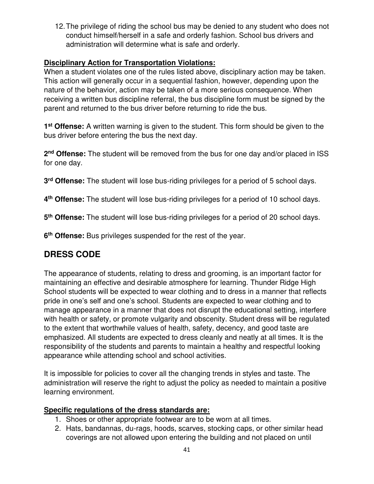12. The privilege of riding the school bus may be denied to any student who does not conduct himself/herself in a safe and orderly fashion. School bus drivers and administration will determine what is safe and orderly.

#### **Disciplinary Action for Transportation Violations:**

When a student violates one of the rules listed above, disciplinary action may be taken. This action will generally occur in a sequential fashion, however, depending upon the nature of the behavior, action may be taken of a more serious consequence. When receiving a written bus discipline referral, the bus discipline form must be signed by the parent and returned to the bus driver before returning to ride the bus.

**1 st Offense:** A written warning is given to the student. This form should be given to the bus driver before entering the bus the next day.

2<sup>nd</sup> Offense: The student will be removed from the bus for one day and/or placed in ISS for one day.

**3 rd Offense:** The student will lose bus-riding privileges for a period of 5 school days.

**4 th Offense:** The student will lose bus-riding privileges for a period of 10 school days.

**5 th Offense:** The student will lose bus-riding privileges for a period of 20 school days.

**6 th Offense:** Bus privileges suspended for the rest of the year.

# **DRESS CODE**

The appearance of students, relating to dress and grooming, is an important factor for maintaining an effective and desirable atmosphere for learning. Thunder Ridge High School students will be expected to wear clothing and to dress in a manner that reflects pride in one's self and one's school. Students are expected to wear clothing and to manage appearance in a manner that does not disrupt the educational setting, interfere with health or safety, or promote vulgarity and obscenity. Student dress will be regulated to the extent that worthwhile values of health, safety, decency, and good taste are emphasized. All students are expected to dress cleanly and neatly at all times. It is the responsibility of the students and parents to maintain a healthy and respectful looking appearance while attending school and school activities.

It is impossible for policies to cover all the changing trends in styles and taste. The administration will reserve the right to adjust the policy as needed to maintain a positive learning environment.

#### **Specific regulations of the dress standards are:**

- 1. Shoes or other appropriate footwear are to be worn at all times.
- 2. Hats, bandannas, du-rags, hoods, scarves, stocking caps, or other similar head coverings are not allowed upon entering the building and not placed on until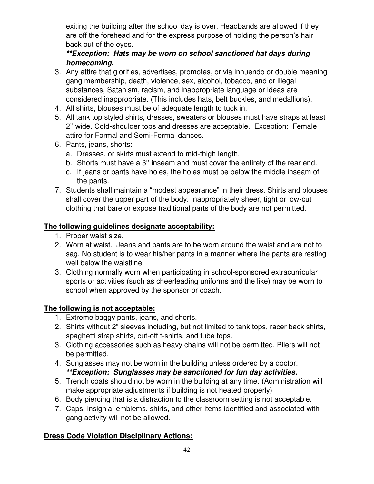exiting the building after the school day is over. Headbands are allowed if they are off the forehead and for the express purpose of holding the person's hair back out of the eyes.

#### *\*\*Exception: Hats may be worn on school sanctioned hat days during homecoming.*

- 3. Any attire that glorifies, advertises, promotes, or via innuendo or double meaning gang membership, death, violence, sex, alcohol, tobacco, and or illegal substances, Satanism, racism, and inappropriate language or ideas are considered inappropriate. (This includes hats, belt buckles, and medallions).
- 4. All shirts, blouses must be of adequate length to tuck in.
- 5. All tank top styled shirts, dresses, sweaters or blouses must have straps at least 2'' wide. Cold-shoulder tops and dresses are acceptable. Exception: Female attire for Formal and Semi-Formal dances.
- 6. Pants, jeans, shorts:
	- a. Dresses, or skirts must extend to mid-thigh length.
	- b. Shorts must have a 3'' inseam and must cover the entirety of the rear end.
	- c. If jeans or pants have holes, the holes must be below the middle inseam of the pants.
- 7. Students shall maintain a "modest appearance" in their dress. Shirts and blouses shall cover the upper part of the body. Inappropriately sheer, tight or low-cut clothing that bare or expose traditional parts of the body are not permitted.

#### **The following guidelines designate acceptability:**

- 1. Proper waist size.
- 2. Worn at waist. Jeans and pants are to be worn around the waist and are not to sag. No student is to wear his/her pants in a manner where the pants are resting well below the waistline.
- 3. Clothing normally worn when participating in school-sponsored extracurricular sports or activities (such as cheerleading uniforms and the like) may be worn to school when approved by the sponsor or coach.

#### **The following is not acceptable:**

- 1. Extreme baggy pants, jeans, and shorts.
- 2. Shirts without 2" sleeves including, but not limited to tank tops, racer back shirts, spaghetti strap shirts, cut-off t-shirts, and tube tops.
- 3. Clothing accessories such as heavy chains will not be permitted. Pliers will not be permitted.
- 4. Sunglasses may not be worn in the building unless ordered by a doctor. *\*\*Exception: Sunglasses may be sanctioned for fun day activities.*
- 5. Trench coats should not be worn in the building at any time. (Administration will make appropriate adjustments if building is not heated properly)
- 6. Body piercing that is a distraction to the classroom setting is not acceptable.
- 7. Caps, insignia, emblems, shirts, and other items identified and associated with gang activity will not be allowed.

#### **Dress Code Violation Disciplinary Actions:**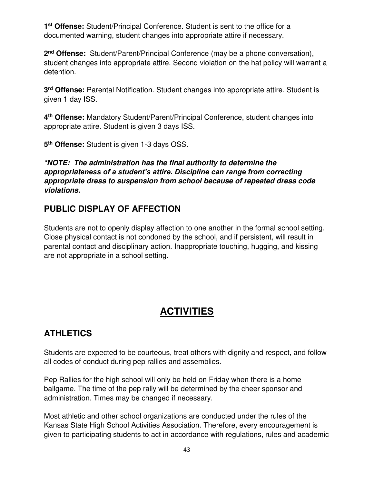**1 st Offense:** Student/Principal Conference. Student is sent to the office for a documented warning, student changes into appropriate attire if necessary.

**2 nd Offense:** Student/Parent/Principal Conference (may be a phone conversation), student changes into appropriate attire. Second violation on the hat policy will warrant a detention.

**3 rd Offense:** Parental Notification. Student changes into appropriate attire. Student is given 1 day ISS.

**4 th Offense:** Mandatory Student/Parent/Principal Conference, student changes into appropriate attire. Student is given 3 days ISS.

**5 th Offense:** Student is given 1-3 days OSS.

*\*NOTE: The administration has the final authority to determine the appropriateness of a student's attire. Discipline can range from correcting appropriate dress to suspension from school because of repeated dress code violations.*

### **PUBLIC DISPLAY OF AFFECTION**

Students are not to openly display affection to one another in the formal school setting. Close physical contact is not condoned by the school, and if persistent, will result in parental contact and disciplinary action. Inappropriate touching, hugging, and kissing are not appropriate in a school setting.

# **ACTIVITIES**

# **ATHLETICS**

Students are expected to be courteous, treat others with dignity and respect, and follow all codes of conduct during pep rallies and assemblies.

Pep Rallies for the high school will only be held on Friday when there is a home ballgame. The time of the pep rally will be determined by the cheer sponsor and administration. Times may be changed if necessary.

Most athletic and other school organizations are conducted under the rules of the Kansas State High School Activities Association. Therefore, every encouragement is given to participating students to act in accordance with regulations, rules and academic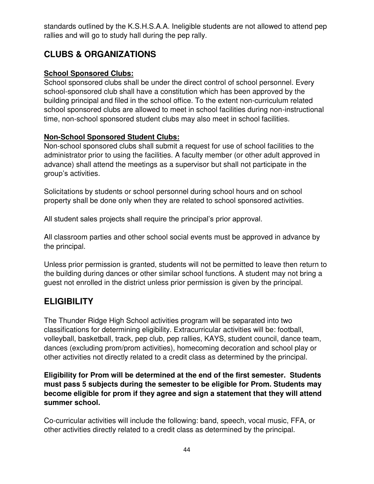standards outlined by the K.S.H.S.A.A. Ineligible students are not allowed to attend pep rallies and will go to study hall during the pep rally.

# **CLUBS & ORGANIZATIONS**

#### **School Sponsored Clubs:**

School sponsored clubs shall be under the direct control of school personnel. Every school-sponsored club shall have a constitution which has been approved by the building principal and filed in the school office. To the extent non-curriculum related school sponsored clubs are allowed to meet in school facilities during non-instructional time, non-school sponsored student clubs may also meet in school facilities.

#### **Non-School Sponsored Student Clubs:**

Non-school sponsored clubs shall submit a request for use of school facilities to the administrator prior to using the facilities. A faculty member (or other adult approved in advance) shall attend the meetings as a supervisor but shall not participate in the group's activities.

Solicitations by students or school personnel during school hours and on school property shall be done only when they are related to school sponsored activities.

All student sales projects shall require the principal's prior approval.

All classroom parties and other school social events must be approved in advance by the principal.

Unless prior permission is granted, students will not be permitted to leave then return to the building during dances or other similar school functions. A student may not bring a guest not enrolled in the district unless prior permission is given by the principal.

# **ELIGIBILITY**

The Thunder Ridge High School activities program will be separated into two classifications for determining eligibility. Extracurricular activities will be: football, volleyball, basketball, track, pep club, pep rallies, KAYS, student council, dance team, dances (excluding prom/prom activities), homecoming decoration and school play or other activities not directly related to a credit class as determined by the principal.

#### **Eligibility for Prom will be determined at the end of the first semester. Students must pass 5 subjects during the semester to be eligible for Prom. Students may become eligible for prom if they agree and sign a statement that they will attend summer school.**

Co-curricular activities will include the following: band, speech, vocal music, FFA, or other activities directly related to a credit class as determined by the principal.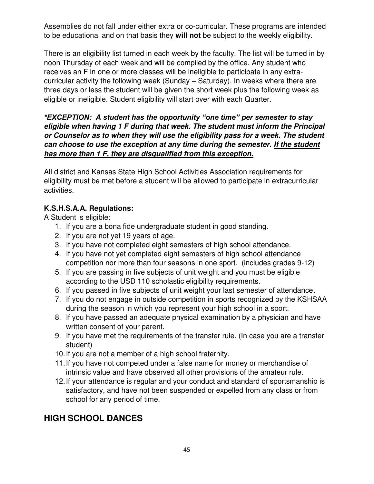Assemblies do not fall under either extra or co-curricular. These programs are intended to be educational and on that basis they **will not** be subject to the weekly eligibility.

There is an eligibility list turned in each week by the faculty. The list will be turned in by noon Thursday of each week and will be compiled by the office. Any student who receives an F in one or more classes will be ineligible to participate in any extracurricular activity the following week (Sunday – Saturday). In weeks where there are three days or less the student will be given the short week plus the following week as eligible or ineligible. Student eligibility will start over with each Quarter.

#### *\*EXCEPTION: A student has the opportunity "one time" per semester to stay eligible when having 1 F during that week. The student must inform the Principal or Counselor as to when they will use the eligibility pass for a week. The student can choose to use the exception at any time during the semester. If the student has more than 1 F, they are disqualified from this exception.*

All district and Kansas State High School Activities Association requirements for eligibility must be met before a student will be allowed to participate in extracurricular activities.

#### **K.S.H.S.A.A. Regulations:**

A Student is eligible:

- 1. If you are a bona fide undergraduate student in good standing.
- 2. If you are not yet 19 years of age.
- 3. If you have not completed eight semesters of high school attendance.
- 4. If you have not yet completed eight semesters of high school attendance competition nor more than four seasons in one sport. (includes grades 9-12)
- 5. If you are passing in five subjects of unit weight and you must be eligible according to the USD 110 scholastic eligibility requirements.
- 6. If you passed in five subjects of unit weight your last semester of attendance.
- 7. If you do not engage in outside competition in sports recognized by the KSHSAA during the season in which you represent your high school in a sport.
- 8. If you have passed an adequate physical examination by a physician and have written consent of your parent.
- 9. If you have met the requirements of the transfer rule. (In case you are a transfer student)
- 10. If you are not a member of a high school fraternity.
- 11. If you have not competed under a false name for money or merchandise of intrinsic value and have observed all other provisions of the amateur rule.
- 12. If your attendance is regular and your conduct and standard of sportsmanship is satisfactory, and have not been suspended or expelled from any class or from school for any period of time.

# **HIGH SCHOOL DANCES**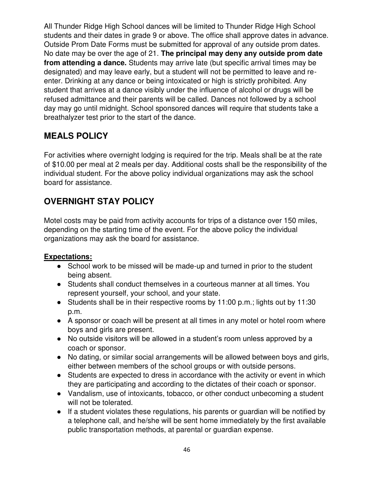All Thunder Ridge High School dances will be limited to Thunder Ridge High School students and their dates in grade 9 or above. The office shall approve dates in advance. Outside Prom Date Forms must be submitted for approval of any outside prom dates. No date may be over the age of 21. **The principal may deny any outside prom date from attending a dance.** Students may arrive late (but specific arrival times may be designated) and may leave early, but a student will not be permitted to leave and reenter. Drinking at any dance or being intoxicated or high is strictly prohibited. Any student that arrives at a dance visibly under the influence of alcohol or drugs will be refused admittance and their parents will be called. Dances not followed by a school day may go until midnight. School sponsored dances will require that students take a breathalyzer test prior to the start of the dance.

### **MEALS POLICY**

For activities where overnight lodging is required for the trip. Meals shall be at the rate of \$10.00 per meal at 2 meals per day. Additional costs shall be the responsibility of the individual student. For the above policy individual organizations may ask the school board for assistance.

# **OVERNIGHT STAY POLICY**

Motel costs may be paid from activity accounts for trips of a distance over 150 miles, depending on the starting time of the event. For the above policy the individual organizations may ask the board for assistance.

#### **Expectations:**

- School work to be missed will be made-up and turned in prior to the student being absent.
- Students shall conduct themselves in a courteous manner at all times. You represent yourself, your school, and your state.
- Students shall be in their respective rooms by 11:00 p.m.; lights out by 11:30 p.m.
- A sponsor or coach will be present at all times in any motel or hotel room where boys and girls are present.
- No outside visitors will be allowed in a student's room unless approved by a coach or sponsor.
- No dating, or similar social arrangements will be allowed between boys and girls, either between members of the school groups or with outside persons.
- Students are expected to dress in accordance with the activity or event in which they are participating and according to the dictates of their coach or sponsor.
- Vandalism, use of intoxicants, tobacco, or other conduct unbecoming a student will not be tolerated.
- If a student violates these regulations, his parents or guardian will be notified by a telephone call, and he/she will be sent home immediately by the first available public transportation methods, at parental or guardian expense.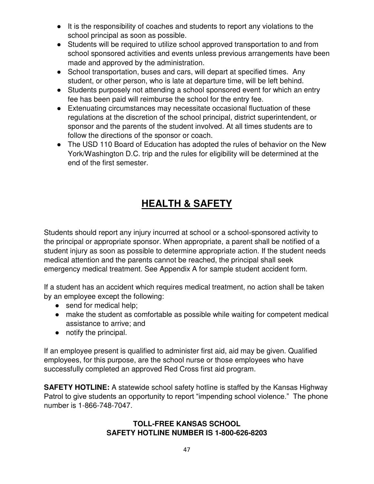- It is the responsibility of coaches and students to report any violations to the school principal as soon as possible.
- Students will be required to utilize school approved transportation to and from school sponsored activities and events unless previous arrangements have been made and approved by the administration.
- School transportation, buses and cars, will depart at specified times. Any student, or other person, who is late at departure time, will be left behind.
- Students purposely not attending a school sponsored event for which an entry fee has been paid will reimburse the school for the entry fee.
- Extenuating circumstances may necessitate occasional fluctuation of these regulations at the discretion of the school principal, district superintendent, or sponsor and the parents of the student involved. At all times students are to follow the directions of the sponsor or coach.
- The USD 110 Board of Education has adopted the rules of behavior on the New York/Washington D.C. trip and the rules for eligibility will be determined at the end of the first semester.

# **HEALTH & SAFETY**

Students should report any injury incurred at school or a school-sponsored activity to the principal or appropriate sponsor. When appropriate, a parent shall be notified of a student injury as soon as possible to determine appropriate action. If the student needs medical attention and the parents cannot be reached, the principal shall seek emergency medical treatment. See Appendix A for sample student accident form.

If a student has an accident which requires medical treatment, no action shall be taken by an employee except the following:

- send for medical help;
- make the student as comfortable as possible while waiting for competent medical assistance to arrive; and
- notify the principal.

If an employee present is qualified to administer first aid, aid may be given. Qualified employees, for this purpose, are the school nurse or those employees who have successfully completed an approved Red Cross first aid program.

**SAFETY HOTLINE:** A statewide school safety hotline is staffed by the Kansas Highway Patrol to give students an opportunity to report "impending school violence." The phone number is 1-866-748-7047.

#### **TOLL-FREE KANSAS SCHOOL SAFETY HOTLINE NUMBER IS 1-800-626-8203**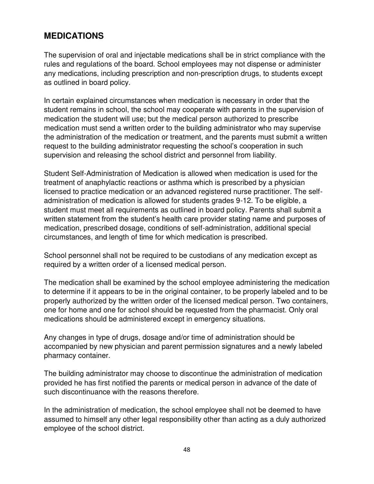### **MEDICATIONS**

The supervision of oral and injectable medications shall be in strict compliance with the rules and regulations of the board. School employees may not dispense or administer any medications, including prescription and non-prescription drugs, to students except as outlined in board policy.

In certain explained circumstances when medication is necessary in order that the student remains in school, the school may cooperate with parents in the supervision of medication the student will use; but the medical person authorized to prescribe medication must send a written order to the building administrator who may supervise the administration of the medication or treatment, and the parents must submit a written request to the building administrator requesting the school's cooperation in such supervision and releasing the school district and personnel from liability.

Student Self-Administration of Medication is allowed when medication is used for the treatment of anaphylactic reactions or asthma which is prescribed by a physician licensed to practice medication or an advanced registered nurse practitioner. The selfadministration of medication is allowed for students grades 9-12. To be eligible, a student must meet all requirements as outlined in board policy. Parents shall submit a written statement from the student's health care provider stating name and purposes of medication, prescribed dosage, conditions of self-administration, additional special circumstances, and length of time for which medication is prescribed.

School personnel shall not be required to be custodians of any medication except as required by a written order of a licensed medical person.

The medication shall be examined by the school employee administering the medication to determine if it appears to be in the original container, to be properly labeled and to be properly authorized by the written order of the licensed medical person. Two containers, one for home and one for school should be requested from the pharmacist. Only oral medications should be administered except in emergency situations.

Any changes in type of drugs, dosage and/or time of administration should be accompanied by new physician and parent permission signatures and a newly labeled pharmacy container.

The building administrator may choose to discontinue the administration of medication provided he has first notified the parents or medical person in advance of the date of such discontinuance with the reasons therefore.

In the administration of medication, the school employee shall not be deemed to have assumed to himself any other legal responsibility other than acting as a duly authorized employee of the school district.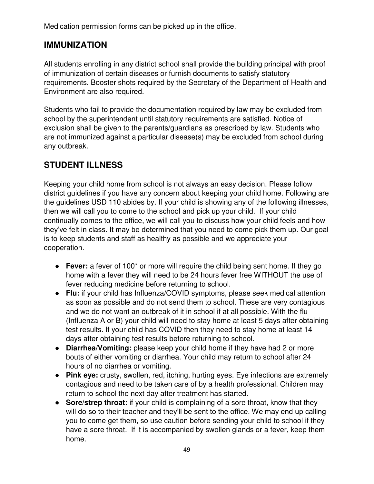Medication permission forms can be picked up in the office.

### **IMMUNIZATION**

All students enrolling in any district school shall provide the building principal with proof of immunization of certain diseases or furnish documents to satisfy statutory requirements. Booster shots required by the Secretary of the Department of Health and Environment are also required.

Students who fail to provide the documentation required by law may be excluded from school by the superintendent until statutory requirements are satisfied. Notice of exclusion shall be given to the parents/guardians as prescribed by law. Students who are not immunized against a particular disease(s) may be excluded from school during any outbreak.

# **STUDENT ILLNESS**

Keeping your child home from school is not always an easy decision. Please follow district guidelines if you have any concern about keeping your child home. Following are the guidelines USD 110 abides by. If your child is showing any of the following illnesses, then we will call you to come to the school and pick up your child. If your child continually comes to the office, we will call you to discuss how your child feels and how they've felt in class. It may be determined that you need to come pick them up. Our goal is to keep students and staff as healthy as possible and we appreciate your cooperation.

- **Fever:** a fever of 100<sup>\*</sup> or more will require the child being sent home. If they go home with a fever they will need to be 24 hours fever free WITHOUT the use of fever reducing medicine before returning to school.
- **Flu:** if your child has Influenza/COVID symptoms, please seek medical attention as soon as possible and do not send them to school. These are very contagious and we do not want an outbreak of it in school if at all possible. With the flu (Influenza A or B) your child will need to stay home at least 5 days after obtaining test results. If your child has COVID then they need to stay home at least 14 days after obtaining test results before returning to school.
- **Diarrhea/Vomiting:** please keep your child home if they have had 2 or more bouts of either vomiting or diarrhea. Your child may return to school after 24 hours of no diarrhea or vomiting.
- **Pink eye:** crusty, swollen, red, itching, hurting eyes. Eye infections are extremely contagious and need to be taken care of by a health professional. Children may return to school the next day after treatment has started.
- **Sore/strep throat:** if your child is complaining of a sore throat, know that they will do so to their teacher and they'll be sent to the office. We may end up calling you to come get them, so use caution before sending your child to school if they have a sore throat. If it is accompanied by swollen glands or a fever, keep them home.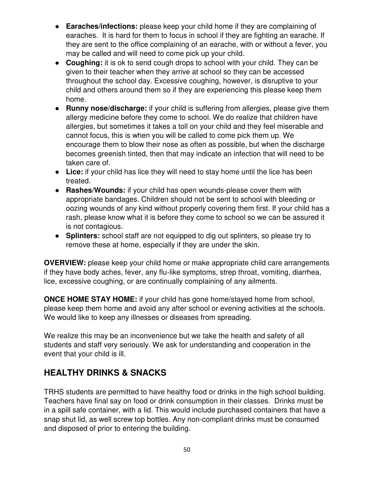- **Earaches/infections:** please keep your child home if they are complaining of earaches. It is hard for them to focus in school if they are fighting an earache. If they are sent to the office complaining of an earache, with or without a fever, you may be called and will need to come pick up your child.
- **Coughing:** it is ok to send cough drops to school with your child. They can be given to their teacher when they arrive at school so they can be accessed throughout the school day. Excessive coughing, however, is disruptive to your child and others around them so if they are experiencing this please keep them home.
- **Runny nose/discharge:** if your child is suffering from allergies, please give them allergy medicine before they come to school. We do realize that children have allergies, but sometimes it takes a toll on your child and they feel miserable and cannot focus, this is when you will be called to come pick them up. We encourage them to blow their nose as often as possible, but when the discharge becomes greenish tinted, then that may indicate an infection that will need to be taken care of.
- **Lice:** if your child has lice they will need to stay home until the lice has been treated.
- **Rashes/Wounds:** if your child has open wounds-please cover them with appropriate bandages. Children should not be sent to school with bleeding or oozing wounds of any kind without properly covering them first. If your child has a rash, please know what it is before they come to school so we can be assured it is not contagious.
- **Splinters:** school staff are not equipped to dig out splinters, so please try to remove these at home, especially if they are under the skin.

**OVERVIEW:** please keep your child home or make appropriate child care arrangements if they have body aches, fever, any flu-like symptoms, strep throat, vomiting, diarrhea, lice, excessive coughing, or are continually complaining of any ailments.

**ONCE HOME STAY HOME:** if your child has gone home/stayed home from school, please keep them home and avoid any after school or evening activities at the schools. We would like to keep any illnesses or diseases from spreading.

We realize this may be an inconvenience but we take the health and safety of all students and staff very seriously. We ask for understanding and cooperation in the event that your child is ill.

# **HEALTHY DRINKS & SNACKS**

TRHS students are permitted to have healthy food or drinks in the high school building. Teachers have final say on food or drink consumption in their classes. Drinks must be in a spill safe container, with a lid. This would include purchased containers that have a snap shut lid, as well screw top bottles. Any non-compliant drinks must be consumed and disposed of prior to entering the building.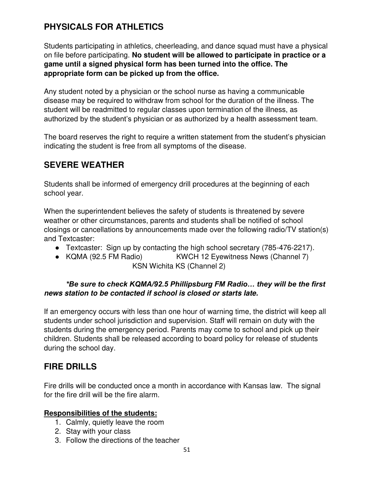# **PHYSICALS FOR ATHLETICS**

Students participating in athletics, cheerleading, and dance squad must have a physical on file before participating. **No student will be allowed to participate in practice or a game until a signed physical form has been turned into the office. The appropriate form can be picked up from the office.**

Any student noted by a physician or the school nurse as having a communicable disease may be required to withdraw from school for the duration of the illness. The student will be readmitted to regular classes upon termination of the illness, as authorized by the student's physician or as authorized by a health assessment team.

The board reserves the right to require a written statement from the student's physician indicating the student is free from all symptoms of the disease.

#### **SEVERE WEATHER**

Students shall be informed of emergency drill procedures at the beginning of each school year.

When the superintendent believes the safety of students is threatened by severe weather or other circumstances, parents and students shall be notified of school closings or cancellations by announcements made over the following radio/TV station(s) and Textcaster:

- Textcaster: Sign up by contacting the high school secretary (785-476-2217).
- KQMA (92.5 FM Radio) KWCH 12 Eyewitness News (Channel 7) KSN Wichita KS (Channel 2)

#### *\*Be sure to check KQMA/92.5 Phillipsburg FM Radio… they will be the first news station to be contacted if school is closed or starts late.*

If an emergency occurs with less than one hour of warning time, the district will keep all students under school jurisdiction and supervision. Staff will remain on duty with the students during the emergency period. Parents may come to school and pick up their children. Students shall be released according to board policy for release of students during the school day.

#### **FIRE DRILLS**

Fire drills will be conducted once a month in accordance with Kansas law. The signal for the fire drill will be the fire alarm.

#### **Responsibilities of the students:**

- 1. Calmly, quietly leave the room
- 2. Stay with your class
- 3. Follow the directions of the teacher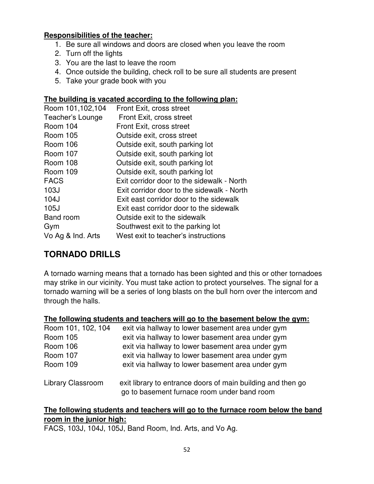#### **Responsibilities of the teacher:**

- 1. Be sure all windows and doors are closed when you leave the room
- 2. Turn off the lights
- 3. You are the last to leave the room
- 4. Once outside the building, check roll to be sure all students are present
- 5. Take your grade book with you

#### **The building is vacated according to the following plan:**

| Room 101,102,104  | Front Exit, cross street                   |
|-------------------|--------------------------------------------|
| Teacher's Lounge  | Front Exit, cross street                   |
| <b>Room 104</b>   | Front Exit, cross street                   |
| Room 105          | Outside exit, cross street                 |
| Room 106          | Outside exit, south parking lot            |
| Room 107          | Outside exit, south parking lot            |
| <b>Room 108</b>   | Outside exit, south parking lot            |
| Room 109          | Outside exit, south parking lot            |
| <b>FACS</b>       | Exit corridor door to the sidewalk - North |
| 103J              | Exit corridor door to the sidewalk - North |
| 104J              | Exit east corridor door to the sidewalk    |
| 105J              | Exit east corridor door to the sidewalk    |
| <b>Band room</b>  | Outside exit to the sidewalk               |
| Gym               | Southwest exit to the parking lot          |
| Vo Ag & Ind. Arts | West exit to teacher's instructions        |

### **TORNADO DRILLS**

A tornado warning means that a tornado has been sighted and this or other tornadoes may strike in our vicinity. You must take action to protect yourselves. The signal for a tornado warning will be a series of long blasts on the bull horn over the intercom and through the halls.

#### **The following students and teachers will go to the basement below the gym:**

| Room 101, 102, 104       | exit via hallway to lower basement area under gym                                                          |
|--------------------------|------------------------------------------------------------------------------------------------------------|
| <b>Room 105</b>          | exit via hallway to lower basement area under gym                                                          |
| <b>Room 106</b>          | exit via hallway to lower basement area under gym                                                          |
| <b>Room 107</b>          | exit via hallway to lower basement area under gym                                                          |
| Room 109                 | exit via hallway to lower basement area under gym                                                          |
| <b>Library Classroom</b> | exit library to entrance doors of main building and then go<br>go to basement furnace room under band room |

#### **The following students and teachers will go to the furnace room below the band room in the junior high:**

FACS, 103J, 104J, 105J, Band Room, Ind. Arts, and Vo Ag.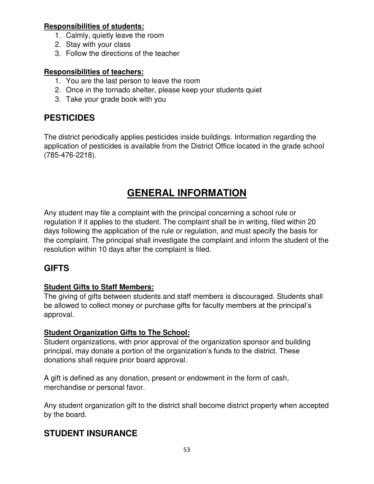#### **Responsibilities of students:**

- 1. Calmly, quietly leave the room
- 2. Stay with your class
- 3. Follow the directions of the teacher

#### **Responsibilities of teachers:**

- 1. You are the last person to leave the room
- 2. Once in the tornado shelter, please keep your students quiet
- 3. Take your grade book with you

# **PESTICIDES**

The district periodically applies pesticides inside buildings. Information regarding the application of pesticides is available from the District Office located in the grade school (785-476-2218).

# **GENERAL INFORMATION**

Any student may file a complaint with the principal concerning a school rule or regulation if it applies to the student. The complaint shall be in writing, filed within 20 days following the application of the rule or regulation, and must specify the basis for the complaint. The principal shall investigate the complaint and inform the student of the resolution within 10 days after the complaint is filed.

### **GIFTS**

#### **Student Gifts to Staff Members:**

The giving of gifts between students and staff members is discouraged. Students shall be allowed to collect money or purchase gifts for faculty members at the principal's approval.

#### **Student Organization Gifts to The School:**

Student organizations, with prior approval of the organization sponsor and building principal, may donate a portion of the organization's funds to the district. These donations shall require prior board approval.

A gift is defined as any donation, present or endowment in the form of cash, merchandise or personal favor.

Any student organization gift to the district shall become district property when accepted by the board.

### **STUDENT INSURANCE**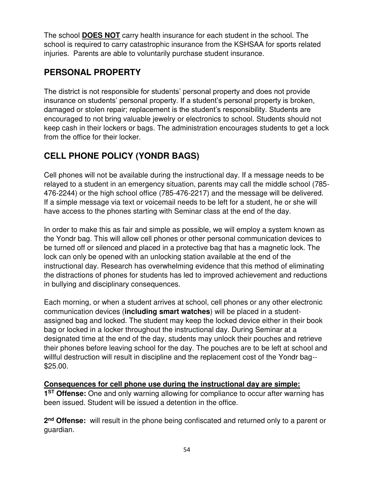The school **DOES NOT** carry health insurance for each student in the school. The school is required to carry catastrophic insurance from the KSHSAA for sports related injuries. Parents are able to voluntarily purchase student insurance.

# **PERSONAL PROPERTY**

The district is not responsible for students' personal property and does not provide insurance on students' personal property. If a student's personal property is broken, damaged or stolen repair; replacement is the student's responsibility. Students are encouraged to not bring valuable jewelry or electronics to school. Students should not keep cash in their lockers or bags. The administration encourages students to get a lock from the office for their locker.

# **CELL PHONE POLICY (YONDR BAGS)**

Cell phones will not be available during the instructional day. If a message needs to be relayed to a student in an emergency situation, parents may call the middle school (785- 476-2244) or the high school office (785-476-2217) and the message will be delivered. If a simple message via text or voicemail needs to be left for a student, he or she will have access to the phones starting with Seminar class at the end of the day.

In order to make this as fair and simple as possible, we will employ a system known as the Yondr bag. This will allow cell phones or other personal communication devices to be turned off or silenced and placed in a protective bag that has a magnetic lock. The lock can only be opened with an unlocking station available at the end of the instructional day. Research has overwhelming evidence that this method of eliminating the distractions of phones for students has led to improved achievement and reductions in bullying and disciplinary consequences.

Each morning, or when a student arrives at school, cell phones or any other electronic communication devices (**including smart watches**) will be placed in a studentassigned bag and locked. The student may keep the locked device either in their book bag or locked in a locker throughout the instructional day. During Seminar at a designated time at the end of the day, students may unlock their pouches and retrieve their phones before leaving school for the day. The pouches are to be left at school and willful destruction will result in discipline and the replacement cost of the Yondr bag-- \$25.00.

#### **Consequences for cell phone use during the instructional day are simple:**

**1<sup>ST</sup> Offense:** One and only warning allowing for compliance to occur after warning has been issued. Student will be issued a detention in the office.

**2 nd Offense:** will result in the phone being confiscated and returned only to a parent or guardian.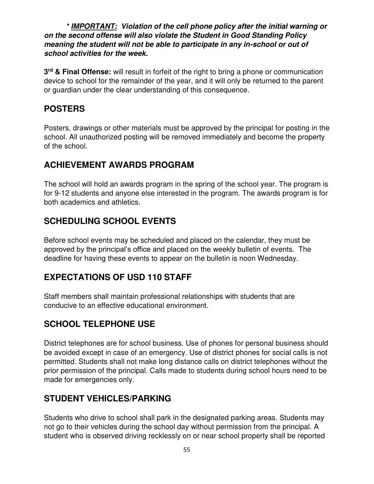*\* IMPORTANT: Violation of the cell phone policy after the initial warning or on the second offense will also violate the Student in Good Standing Policy meaning the student will not be able to participate in any in-school or out of school activities for the week.* 

**3 rd & Final Offense:** will result in forfeit of the right to bring a phone or communication device to school for the remainder of the year, and it will only be returned to the parent or guardian under the clear understanding of this consequence.

### **POSTERS**

Posters, drawings or other materials must be approved by the principal for posting in the school. All unauthorized posting will be removed immediately and become the property of the school.

### **ACHIEVEMENT AWARDS PROGRAM**

The school will hold an awards program in the spring of the school year. The program is for 9-12 students and anyone else interested in the program. The awards program is for both academics and athletics.

# **SCHEDULING SCHOOL EVENTS**

Before school events may be scheduled and placed on the calendar, they must be approved by the principal's office and placed on the weekly bulletin of events. The deadline for having these events to appear on the bulletin is noon Wednesday.

### **EXPECTATIONS OF USD 110 STAFF**

Staff members shall maintain professional relationships with students that are conducive to an effective educational environment.

### **SCHOOL TELEPHONE USE**

District telephones are for school business. Use of phones for personal business should be avoided except in case of an emergency. Use of district phones for social calls is not permitted. Students shall not make long distance calls on district telephones without the prior permission of the principal. Calls made to students during school hours need to be made for emergencies only.

### **STUDENT VEHICLES/PARKING**

Students who drive to school shall park in the designated parking areas. Students may not go to their vehicles during the school day without permission from the principal. A student who is observed driving recklessly on or near school property shall be reported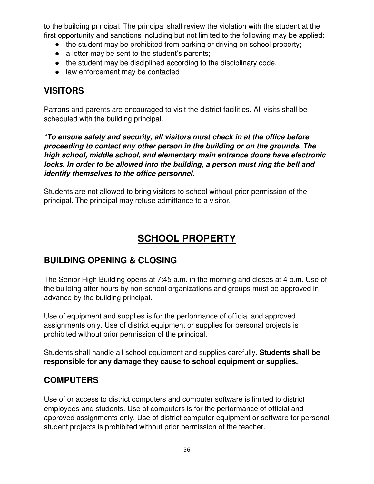to the building principal. The principal shall review the violation with the student at the first opportunity and sanctions including but not limited to the following may be applied:

- the student may be prohibited from parking or driving on school property;
- $\bullet$  a letter may be sent to the student's parents;
- the student may be disciplined according to the disciplinary code.
- law enforcement may be contacted

### **VISITORS**

Patrons and parents are encouraged to visit the district facilities. All visits shall be scheduled with the building principal.

*\*To ensure safety and security, all visitors must check in at the office before proceeding to contact any other person in the building or on the grounds. The high school, middle school, and elementary main entrance doors have electronic locks. In order to be allowed into the building, a person must ring the bell and identify themselves to the office personnel.* 

Students are not allowed to bring visitors to school without prior permission of the principal. The principal may refuse admittance to a visitor.

# **SCHOOL PROPERTY**

### **BUILDING OPENING & CLOSING**

The Senior High Building opens at 7:45 a.m. in the morning and closes at 4 p.m. Use of the building after hours by non-school organizations and groups must be approved in advance by the building principal.

Use of equipment and supplies is for the performance of official and approved assignments only. Use of district equipment or supplies for personal projects is prohibited without prior permission of the principal.

Students shall handle all school equipment and supplies carefully**. Students shall be responsible for any damage they cause to school equipment or supplies.**

# **COMPUTERS**

Use of or access to district computers and computer software is limited to district employees and students. Use of computers is for the performance of official and approved assignments only. Use of district computer equipment or software for personal student projects is prohibited without prior permission of the teacher.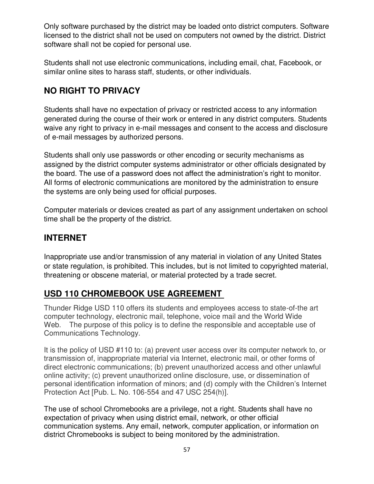Only software purchased by the district may be loaded onto district computers. Software licensed to the district shall not be used on computers not owned by the district. District software shall not be copied for personal use.

Students shall not use electronic communications, including email, chat, Facebook, or similar online sites to harass staff, students, or other individuals.

# **NO RIGHT TO PRIVACY**

Students shall have no expectation of privacy or restricted access to any information generated during the course of their work or entered in any district computers. Students waive any right to privacy in e-mail messages and consent to the access and disclosure of e-mail messages by authorized persons.

Students shall only use passwords or other encoding or security mechanisms as assigned by the district computer systems administrator or other officials designated by the board. The use of a password does not affect the administration's right to monitor. All forms of electronic communications are monitored by the administration to ensure the systems are only being used for official purposes.

Computer materials or devices created as part of any assignment undertaken on school time shall be the property of the district.

# **INTERNET**

Inappropriate use and/or transmission of any material in violation of any United States or state regulation, is prohibited. This includes, but is not limited to copyrighted material, threatening or obscene material, or material protected by a trade secret.

# **USD 110 CHROMEBOOK USE AGREEMENT**

Thunder Ridge USD 110 offers its students and employees access to state-of-the art computer technology, electronic mail, telephone, voice mail and the World Wide Web. The purpose of this policy is to define the responsible and acceptable use of Communications Technology.

It is the policy of USD #110 to: (a) prevent user access over its computer network to, or transmission of, inappropriate material via Internet, electronic mail, or other forms of direct electronic communications; (b) prevent unauthorized access and other unlawful online activity; (c) prevent unauthorized online disclosure, use, or dissemination of personal identification information of minors; and (d) comply with the Children's Internet Protection Act [Pub. L. No. 106-554 and 47 USC 254(h)].

The use of school Chromebooks are a privilege, not a right. Students shall have no expectation of privacy when using district email, network, or other official communication systems. Any email, network, computer application, or information on district Chromebooks is subject to being monitored by the administration.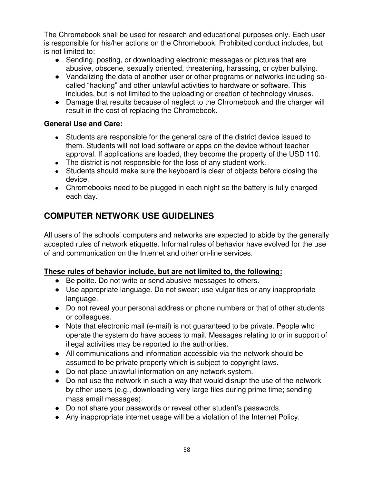The Chromebook shall be used for research and educational purposes only. Each user is responsible for his/her actions on the Chromebook. Prohibited conduct includes, but is not limited to:

- Sending, posting, or downloading electronic messages or pictures that are abusive, obscene, sexually oriented, threatening, harassing, or cyber bullying.
- Vandalizing the data of another user or other programs or networks including socalled "hacking" and other unlawful activities to hardware or software. This includes, but is not limited to the uploading or creation of technology viruses.
- Damage that results because of neglect to the Chromebook and the charger will result in the cost of replacing the Chromebook.

#### **General Use and Care:**

- Students are responsible for the general care of the district device issued to them. Students will not load software or apps on the device without teacher approval. If applications are loaded, they become the property of the USD 110.
- The district is not responsible for the loss of any student work.
- Students should make sure the keyboard is clear of objects before closing the device.
- Chromebooks need to be plugged in each night so the battery is fully charged each day.

# **COMPUTER NETWORK USE GUIDELINES**

All users of the schools' computers and networks are expected to abide by the generally accepted rules of network etiquette. Informal rules of behavior have evolved for the use of and communication on the Internet and other on-line services.

#### **These rules of behavior include, but are not limited to, the following:**

- Be polite. Do not write or send abusive messages to others.
- Use appropriate language. Do not swear; use vulgarities or any inappropriate language.
- Do not reveal your personal address or phone numbers or that of other students or colleagues.
- Note that electronic mail (e-mail) is not guaranteed to be private. People who operate the system do have access to mail. Messages relating to or in support of illegal activities may be reported to the authorities.
- All communications and information accessible via the network should be assumed to be private property which is subject to copyright laws.
- Do not place unlawful information on any network system.
- Do not use the network in such a way that would disrupt the use of the network by other users (e.g., downloading very large files during prime time; sending mass email messages).
- Do not share your passwords or reveal other student's passwords.
- Any inappropriate internet usage will be a violation of the Internet Policy.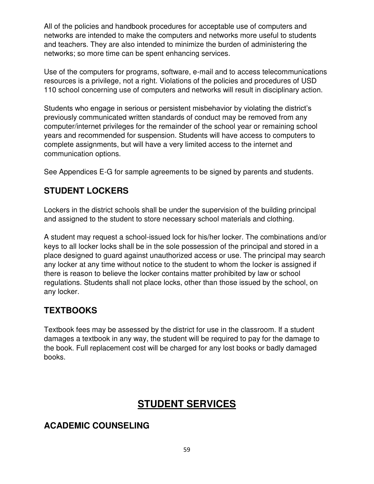All of the policies and handbook procedures for acceptable use of computers and networks are intended to make the computers and networks more useful to students and teachers. They are also intended to minimize the burden of administering the networks; so more time can be spent enhancing services.

Use of the computers for programs, software, e-mail and to access telecommunications resources is a privilege, not a right. Violations of the policies and procedures of USD 110 school concerning use of computers and networks will result in disciplinary action.

Students who engage in serious or persistent misbehavior by violating the district's previously communicated written standards of conduct may be removed from any computer/internet privileges for the remainder of the school year or remaining school years and recommended for suspension. Students will have access to computers to complete assignments, but will have a very limited access to the internet and communication options.

See Appendices E-G for sample agreements to be signed by parents and students.

# **STUDENT LOCKERS**

Lockers in the district schools shall be under the supervision of the building principal and assigned to the student to store necessary school materials and clothing.

A student may request a school-issued lock for his/her locker. The combinations and/or keys to all locker locks shall be in the sole possession of the principal and stored in a place designed to guard against unauthorized access or use. The principal may search any locker at any time without notice to the student to whom the locker is assigned if there is reason to believe the locker contains matter prohibited by law or school regulations. Students shall not place locks, other than those issued by the school, on any locker.

# **TEXTBOOKS**

Textbook fees may be assessed by the district for use in the classroom. If a student damages a textbook in any way, the student will be required to pay for the damage to the book. Full replacement cost will be charged for any lost books or badly damaged books.

# **STUDENT SERVICES**

# **ACADEMIC COUNSELING**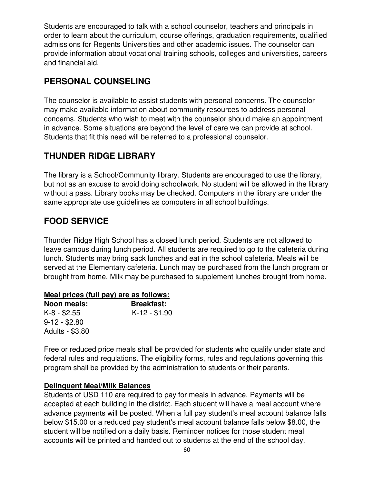Students are encouraged to talk with a school counselor, teachers and principals in order to learn about the curriculum, course offerings, graduation requirements, qualified admissions for Regents Universities and other academic issues. The counselor can provide information about vocational training schools, colleges and universities, careers and financial aid.

### **PERSONAL COUNSELING**

The counselor is available to assist students with personal concerns. The counselor may make available information about community resources to address personal concerns. Students who wish to meet with the counselor should make an appointment in advance. Some situations are beyond the level of care we can provide at school. Students that fit this need will be referred to a professional counselor.

### **THUNDER RIDGE LIBRARY**

The library is a School/Community library. Students are encouraged to use the library, but not as an excuse to avoid doing schoolwork. No student will be allowed in the library without a pass. Library books may be checked. Computers in the library are under the same appropriate use guidelines as computers in all school buildings.

# **FOOD SERVICE**

Thunder Ridge High School has a closed lunch period. Students are not allowed to leave campus during lunch period. All students are required to go to the cafeteria during lunch. Students may bring sack lunches and eat in the school cafeteria. Meals will be served at the Elementary cafeteria. Lunch may be purchased from the lunch program or brought from home. Milk may be purchased to supplement lunches brought from home.

#### **Meal prices (full pay) are as follows:**

| Noon meals:     | <b>Breakfast:</b> |
|-----------------|-------------------|
| $K-8 - $2.55$   | $K-12 - $1.90$    |
| $9-12 - $2.80$  |                   |
| Adults - \$3.80 |                   |

Free or reduced price meals shall be provided for students who qualify under state and federal rules and regulations. The eligibility forms, rules and regulations governing this program shall be provided by the administration to students or their parents.

#### **Delinquent Meal/Milk Balances**

Students of USD 110 are required to pay for meals in advance. Payments will be accepted at each building in the district. Each student will have a meal account where advance payments will be posted. When a full pay student's meal account balance falls below \$15.00 or a reduced pay student's meal account balance falls below \$8.00, the student will be notified on a daily basis. Reminder notices for those student meal accounts will be printed and handed out to students at the end of the school day.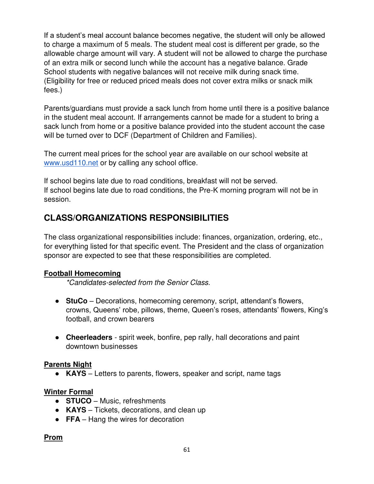If a student's meal account balance becomes negative, the student will only be allowed to charge a maximum of 5 meals. The student meal cost is different per grade, so the allowable charge amount will vary. A student will not be allowed to charge the purchase of an extra milk or second lunch while the account has a negative balance. Grade School students with negative balances will not receive milk during snack time. (Eligibility for free or reduced priced meals does not cover extra milks or snack milk fees.)

Parents/guardians must provide a sack lunch from home until there is a positive balance in the student meal account. If arrangements cannot be made for a student to bring a sack lunch from home or a positive balance provided into the student account the case will be turned over to DCF (Department of Children and Families).

The current meal prices for the school year are available on our school website at [www.usd110.net](http://www.usd110.net/) or by calling any school office.

If school begins late due to road conditions, breakfast will not be served. If school begins late due to road conditions, the Pre-K morning program will not be in session.

# **CLASS/ORGANIZATIONS RESPONSIBILITIES**

The class organizational responsibilities include: finances, organization, ordering, etc., for everything listed for that specific event. The President and the class of organization sponsor are expected to see that these responsibilities are completed.

#### **Football Homecoming**

*\*Candidates-selected from the Senior Class.* 

- **StuCo** Decorations, homecoming ceremony, script, attendant's flowers, crowns, Queens' robe, pillows, theme, Queen's roses, attendants' flowers, King's football, and crown bearers
- **Cheerleaders**  spirit week, bonfire, pep rally, hall decorations and paint downtown businesses

#### **Parents Night**

● **KAYS** – Letters to parents, flowers, speaker and script, name tags

#### **Winter Formal**

- **STUCO** Music, refreshments
- **KAYS**  Tickets, decorations, and clean up
- **FFA** Hang the wires for decoration

**Prom**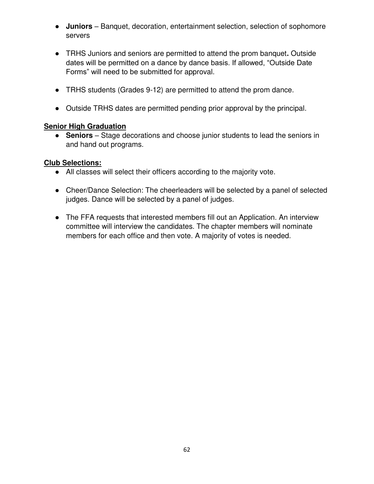- **Juniors**  Banquet, decoration, entertainment selection, selection of sophomore servers
- TRHS Juniors and seniors are permitted to attend the prom banquet**.** Outside dates will be permitted on a dance by dance basis. If allowed, "Outside Date Forms" will need to be submitted for approval.
- TRHS students (Grades 9-12) are permitted to attend the prom dance.
- Outside TRHS dates are permitted pending prior approval by the principal.

#### **Senior High Graduation**

● **Seniors** – Stage decorations and choose junior students to lead the seniors in and hand out programs.

#### **Club Selections:**

- All classes will select their officers according to the majority vote.
- Cheer/Dance Selection: The cheerleaders will be selected by a panel of selected judges. Dance will be selected by a panel of judges.
- The FFA requests that interested members fill out an Application. An interview committee will interview the candidates. The chapter members will nominate members for each office and then vote. A majority of votes is needed.